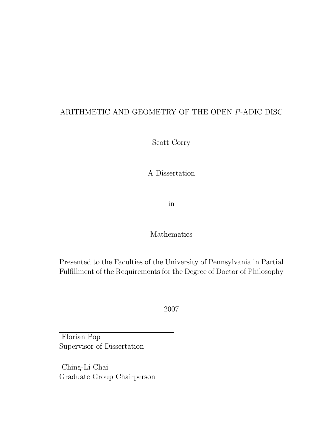### ARITHMETIC AND GEOMETRY OF THE OPEN P-ADIC DISC

Scott Corry

A Dissertation

in

#### Mathematics

Presented to the Faculties of the University of Pennsylvania in Partial Fulfillment of the Requirements for the Degree of Doctor of Philosophy

2007

Florian Pop Supervisor of Dissertation

Ching-Li Chai Graduate Group Chairperson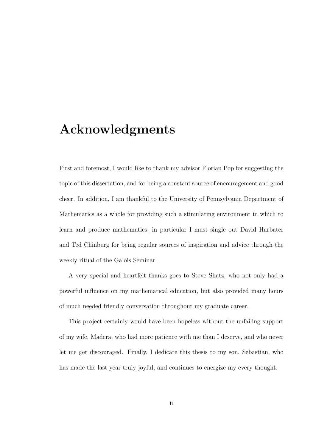## Acknowledgments

First and foremost, I would like to thank my advisor Florian Pop for suggesting the topic of this dissertation, and for being a constant source of encouragement and good cheer. In addition, I am thankful to the University of Pennsylvania Department of Mathematics as a whole for providing such a stimulating environment in which to learn and produce mathematics; in particular I must single out David Harbater and Ted Chinburg for being regular sources of inspiration and advice through the weekly ritual of the Galois Seminar.

A very special and heartfelt thanks goes to Steve Shatz, who not only had a powerful influence on my mathematical education, but also provided many hours of much needed friendly conversation throughout my graduate career.

This project certainly would have been hopeless without the unfailing support of my wife, Madera, who had more patience with me than I deserve, and who never let me get discouraged. Finally, I dedicate this thesis to my son, Sebastian, who has made the last year truly joyful, and continues to energize my every thought.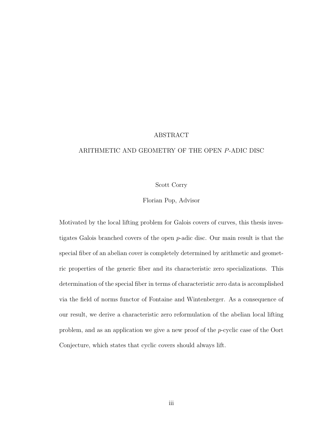#### ABSTRACT

#### ARITHMETIC AND GEOMETRY OF THE OPEN P-ADIC DISC

#### Scott Corry

#### Florian Pop, Advisor

Motivated by the local lifting problem for Galois covers of curves, this thesis investigates Galois branched covers of the open p-adic disc. Our main result is that the special fiber of an abelian cover is completely determined by arithmetic and geometric properties of the generic fiber and its characteristic zero specializations. This determination of the special fiber in terms of characteristic zero data is accomplished via the field of norms functor of Fontaine and Wintenberger. As a consequence of our result, we derive a characteristic zero reformulation of the abelian local lifting problem, and as an application we give a new proof of the p-cyclic case of the Oort Conjecture, which states that cyclic covers should always lift.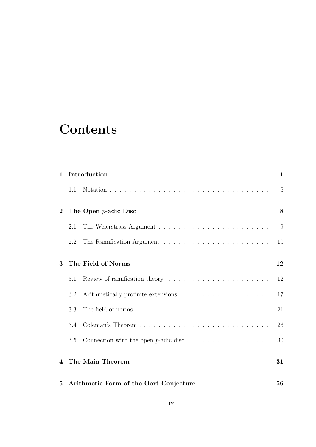# **Contents**

| $\mathbf{1}$   | Introduction                           |                    |    |  |  |  |  |
|----------------|----------------------------------------|--------------------|----|--|--|--|--|
|                | 1.1                                    |                    | 6  |  |  |  |  |
| $\overline{2}$ | The Open $p$ -adic Disc                |                    |    |  |  |  |  |
|                | 2.1                                    |                    | 9  |  |  |  |  |
|                | 2.2                                    |                    | 10 |  |  |  |  |
| 3              |                                        | The Field of Norms | 12 |  |  |  |  |
|                | 3.1                                    |                    | 12 |  |  |  |  |
|                | 3.2                                    |                    | 17 |  |  |  |  |
|                | 3.3                                    |                    | 21 |  |  |  |  |
|                | 3.4                                    |                    | 26 |  |  |  |  |
|                | 3.5                                    |                    | 30 |  |  |  |  |
| $\overline{4}$ | The Main Theorem                       |                    |    |  |  |  |  |
| $5^{\circ}$    | Arithmetic Form of the Oort Conjecture |                    |    |  |  |  |  |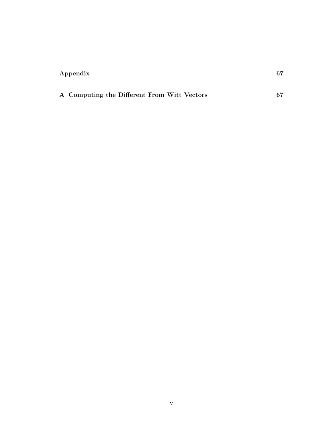### Appendix 67

| A Computing the Different From Witt Vectors |  |  |  |
|---------------------------------------------|--|--|--|
|                                             |  |  |  |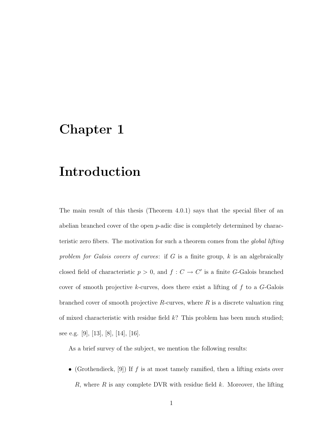## Chapter 1

## Introduction

The main result of this thesis (Theorem 4.0.1) says that the special fiber of an abelian branched cover of the open p-adic disc is completely determined by characteristic zero fibers. The motivation for such a theorem comes from the global lifting problem for Galois covers of curves: if  $G$  is a finite group,  $k$  is an algebraically closed field of characteristic  $p > 0$ , and  $f : C \to C'$  is a finite G-Galois branched cover of smooth projective  $k$ -curves, does there exist a lifting of  $f$  to a  $G$ -Galois branched cover of smooth projective  $R$ -curves, where  $R$  is a discrete valuation ring of mixed characteristic with residue field  $k$ ? This problem has been much studied; see e.g. [9], [13], [8], [14], [16].

As a brief survey of the subject, we mention the following results:

• (Grothendieck, [9]) If  $f$  is at most tamely ramified, then a lifting exists over R, where R is any complete DVR with residue field  $k$ . Moreover, the lifting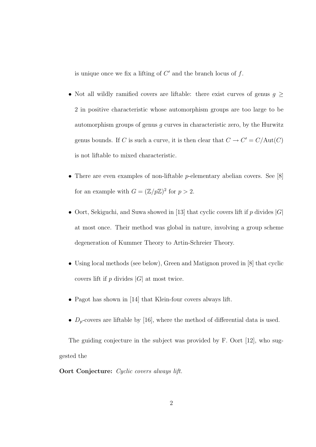is unique once we fix a lifting of  $C'$  and the branch locus of  $f$ .

- Not all wildly ramified covers are liftable: there exist curves of genus  $g \geq$ 2 in positive characteristic whose automorphism groups are too large to be automorphism groups of genus  $g$  curves in characteristic zero, by the Hurwitz genus bounds. If C is such a curve, it is then clear that  $C \to C' = C/\text{Aut}(C)$ is not liftable to mixed characteristic.
- There are even examples of non-liftable *p*-elementary abelian covers. See [8] for an example with  $G = (\mathbb{Z}/p\mathbb{Z})^2$  for  $p > 2$ .
- Oort, Sekiguchi, and Suwa showed in [13] that cyclic covers lift if p divides  $|G|$ at most once. Their method was global in nature, involving a group scheme degeneration of Kummer Theory to Artin-Schreier Theory.
- Using local methods (see below), Green and Matignon proved in [8] that cyclic covers lift if  $p$  divides  $|G|$  at most twice.
- Pagot has shown in [14] that Klein-four covers always lift.
- $D_p$ -covers are liftable by [16], where the method of differential data is used.

The guiding conjecture in the subject was provided by F. Oort [12], who suggested the

Oort Conjecture: Cyclic covers always lift.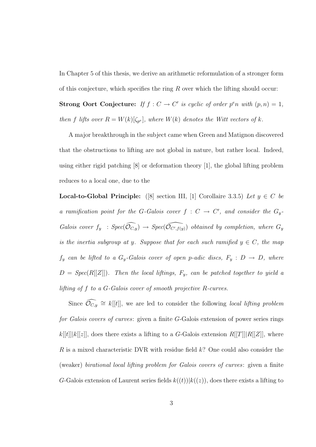In Chapter 5 of this thesis, we derive an arithmetic reformulation of a stronger form of this conjecture, which specifies the ring  $R$  over which the lifting should occur:

**Strong Oort Conjecture:** If  $f: C \to C'$  is cyclic of order  $p^e n$  with  $(p, n) = 1$ , then f lifts over  $R = W(k)[\zeta_{p^e}]$ , where  $W(k)$  denotes the Witt vectors of k.

A major breakthrough in the subject came when Green and Matignon discovered that the obstructions to lifting are not global in nature, but rather local. Indeed, using either rigid patching [8] or deformation theory [1], the global lifting problem reduces to a local one, due to the

Local-to-Global Principle: ([8] section III, [1] Corollaire 3.3.5) Let  $y \in C$  be a ramification point for the G-Galois cover  $f: C \to C'$ , and consider the  $G_y$ -Galois cover  $f_y$ :  $Spec(\widehat{O_{C,y}})$   $\rightarrow Spec(\widehat{O_{C',f(y)}})$  obtained by completion, where  $G_y$ is the inertia subgroup at y. Suppose that for each such ramified  $y \in C$ , the map  $f_y$  can be lifted to a  $G_y$ -Galois cover of open p-adic discs,  $F_y : D \to D$ , where  $D = Spec(R[[Z]])$ . Then the local liftings,  $F_y$ , can be patched together to yield a lifting of f to a G-Galois cover of smooth projective R-curves.

Since  $\widehat{\mathcal{O}_{C,y}} \cong k[[t]]$ , we are led to consider the following local lifting problem for Galois covers of curves: given a finite G-Galois extension of power series rings  $k[[t]]k[[z]]$ , does there exists a lifting to a G-Galois extension  $R[[T]][R[[Z]]$ , where R is a mixed characteristic DVR with residue field k? One could also consider the (weaker) birational local lifting problem for Galois covers of curves: given a finite G-Galois extension of Laurent series fields  $k((t))|k((z))$ , does there exists a lifting to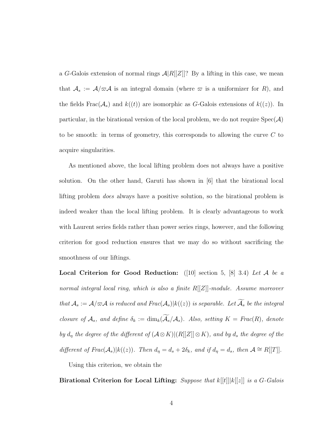a G-Galois extension of normal rings  $A|R[[Z]]$ ? By a lifting in this case, we mean that  $A_s := \mathcal{A}/\varpi \mathcal{A}$  is an integral domain (where  $\varpi$  is a uniformizer for R), and the fields  $Frac(\mathcal{A}_s)$  and  $k((t))$  are isomorphic as G-Galois extensions of  $k((z))$ . In particular, in the birational version of the local problem, we do not require  $Spec(\mathcal{A})$ to be smooth: in terms of geometry, this corresponds to allowing the curve C to acquire singularities.

As mentioned above, the local lifting problem does not always have a positive solution. On the other hand, Garuti has shown in [6] that the birational local lifting problem does always have a positive solution, so the birational problem is indeed weaker than the local lifting problem. It is clearly advantageous to work with Laurent series fields rather than power series rings, however, and the following criterion for good reduction ensures that we may do so without sacrificing the smoothness of our liftings.

**Local Criterion for Good Reduction:** ([10] section 5, [8] 3.4) Let A be a normal integral local ring, which is also a finite  $R[[Z]]$ -module. Assume moreover that  $A_s := \mathcal{A}/\varpi\mathcal{A}$  is reduced and  $Frac(\mathcal{A}_s)|k((z))$  is separable. Let  $\widetilde{\mathcal{A}}_s$  be the integral closure of  $\mathcal{A}_s$ , and define  $\delta_k := \dim_k(\widetilde{\mathcal{A}}_s/\mathcal{A}_s)$ . Also, setting  $K = \text{Frac}(R)$ , denote by  $d_{\eta}$  the degree of the different of  $(\mathcal{A}\otimes K)|(R[[Z]]\otimes K)$ , and by  $d_s$  the degree of the different of  $Frac(\mathcal{A}_s)|k((z))$ . Then  $d_\eta = d_s + 2\delta_k$ , and if  $d_\eta = d_s$ , then  $\mathcal{A} \cong R[[T]]$ .

Using this criterion, we obtain the

Birational Criterion for Local Lifting: Suppose that  $k[[t]] |k[[z]]$  is a G-Galois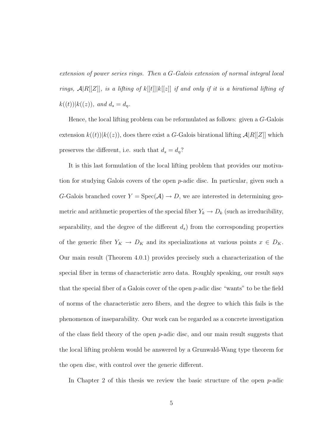extension of power series rings. Then a G-Galois extension of normal integral local rings,  $\mathcal{A}|R[[Z]]$ , is a lifting of  $k[[t]]|k[[z]]$  if and only if it is a birational lifting of  $k((t))|k((z)), \text{ and } d_s = d_\eta.$ 

Hence, the local lifting problem can be reformulated as follows: given a G-Galois extension  $k((t))|k((z))$ , does there exist a G-Galois birational lifting  $A|R[[Z]]$  which preserves the different, i.e. such that  $d_s = d_\eta$ ?

It is this last formulation of the local lifting problem that provides our motivation for studying Galois covers of the open p-adic disc. In particular, given such a G-Galois branched cover  $Y = \text{Spec}(\mathcal{A}) \to D$ , we are interested in determining geometric and arithmetic properties of the special fiber  $Y_k \to D_k$  (such as irreducibility, separability, and the degree of the different  $d_s$ ) from the corresponding properties of the generic fiber  $Y_K \to D_K$  and its specializations at various points  $x \in D_K$ . Our main result (Theorem 4.0.1) provides precisely such a characterization of the special fiber in terms of characteristic zero data. Roughly speaking, our result says that the special fiber of a Galois cover of the open p-adic disc "wants" to be the field of norms of the characteristic zero fibers, and the degree to which this fails is the phenomenon of inseparability. Our work can be regarded as a concrete investigation of the class field theory of the open p-adic disc, and our main result suggests that the local lifting problem would be answered by a Grunwald-Wang type theorem for the open disc, with control over the generic different.

In Chapter 2 of this thesis we review the basic structure of the open  $p$ -adic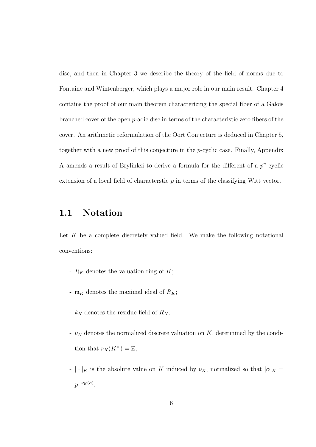disc, and then in Chapter 3 we describe the theory of the field of norms due to Fontaine and Wintenberger, which plays a major role in our main result. Chapter 4 contains the proof of our main theorem characterizing the special fiber of a Galois branched cover of the open p-adic disc in terms of the characteristic zero fibers of the cover. An arithmetic reformulation of the Oort Conjecture is deduced in Chapter 5, together with a new proof of this conjecture in the p-cyclic case. Finally, Appendix A amends a result of Brylinksi to derive a formula for the different of a  $p^n$ -cyclic extension of a local field of characterstic  $p$  in terms of the classifying Witt vector.

### 1.1 Notation

Let  $K$  be a complete discretely valued field. We make the following notational conventions:

- $R_K$  denotes the valuation ring of  $K$ ;
- $\mathfrak{m}_K$  denotes the maximal ideal of  $R_K$ ;
- $k_K$  denotes the residue field of  $R_K$ ;
- $\nu_K$  denotes the normalized discrete valuation on K, determined by the condition that  $\nu_K(K^{\times}) = \mathbb{Z};$
- $| \cdot |_K$  is the absolute value on K induced by  $\nu_K$ , normalized so that  $|\alpha|_K =$  $p^{-\nu_K(\alpha)}.$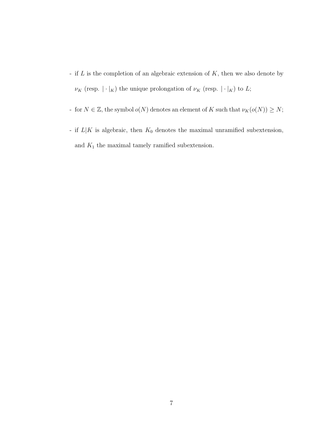- if  $L$  is the completion of an algebraic extension of  $K$ , then we also denote by  $\nu_K$  (resp.  $|\cdot|_K)$  the unique prolongation of  $\nu_K$  (resp.  $|\cdot|_K)$  to  $L;$
- for  $N \in \mathbb{Z}$ , the symbol  $o(N)$  denotes an element of K such that  $\nu_K(o(N)) \geq N;$
- if  $L|K$  is algebraic, then  $K_0$  denotes the maximal unramified subextension, and  $\mathcal{K}_1$  the maximal tamely ramified subextension.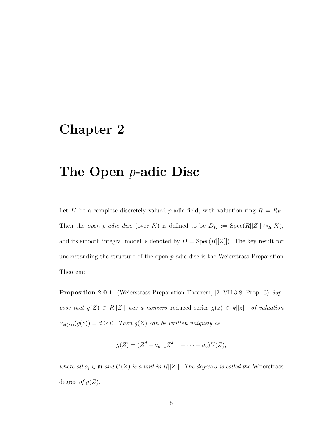## Chapter 2

## The Open p-adic Disc

Let K be a complete discretely valued p-adic field, with valuation ring  $R = R_K$ . Then the *open p-adic disc* (over K) is defined to be  $D_K := \text{Spec}(R[[Z]] \otimes_R K)$ , and its smooth integral model is denoted by  $D = Spec(R[[Z]])$ . The key result for understanding the structure of the open p-adic disc is the Weierstrass Preparation Theorem:

Proposition 2.0.1. (Weierstrass Preparation Theorem, [2] VII.3.8, Prop. 6) Suppose that  $g(Z) \in R[[Z]]$  has a nonzero reduced series  $\overline{g}(z) \in k[[z]]$ , of valuation  $\nu_{k((z))}(\overline{g}(z)) = d \geq 0$ . Then  $g(Z)$  can be written uniquely as

$$
g(Z) = (Zd + ad-1 Zd-1 + \dots + a0)U(Z),
$$

where all  $a_i \in \mathfrak{m}$  and  $U(Z)$  is a unit in  $R[[Z]]$ . The degree d is called the Weierstrass degree of  $g(Z)$ .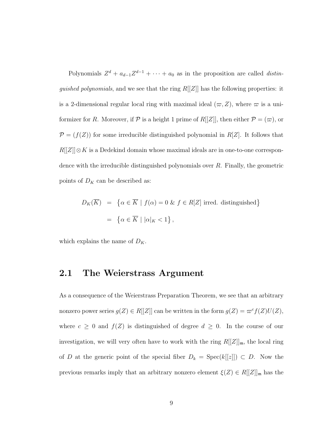Polynomials  $Z^d + a_{d-1}Z^{d-1} + \cdots + a_0$  as in the proposition are called *distinguished polynomials*, and we see that the ring  $R[[Z]]$  has the following properties: it is a 2-dimensional regular local ring with maximal ideal  $(\varpi, Z)$ , where  $\varpi$  is a uniformizer for R. Moreover, if  $P$  is a height 1 prime of  $R[[Z]]$ , then either  $P = (\varpi)$ , or  $\mathcal{P} = (f(Z))$  for some irreducible distinguished polynomial in  $R[Z]$ . It follows that  $R[[Z]] \otimes K$  is a Dedekind domain whose maximal ideals are in one-to-one correspondence with the irreducible distinguished polynomials over R. Finally, the geometric points of  $D_K$  can be described as:

$$
D_K(\overline{K}) = \{ \alpha \in \overline{K} \mid f(\alpha) = 0 \& f \in R[Z] \text{ irred. distinguished} \}
$$

$$
= \{ \alpha \in \overline{K} \mid |\alpha|_K < 1 \},
$$

which explains the name of  $D_K$ .

#### 2.1 The Weierstrass Argument

As a consequence of the Weierstrass Preparation Theorem, we see that an arbitrary nonzero power series  $g(Z) \in R[[Z]]$  can be written in the form  $g(Z) = \varpi^{c} f(Z) U(Z)$ , where  $c \geq 0$  and  $f(Z)$  is distinguished of degree  $d \geq 0$ . In the course of our investigation, we will very often have to work with the ring  $R[[Z]]_{m}$ , the local ring of D at the generic point of the special fiber  $D_k = \text{Spec}(k[[z]]) \subset D$ . Now the previous remarks imply that an arbitrary nonzero element  $\xi(Z) \in R[[Z]]_{\mathfrak{m}}$  has the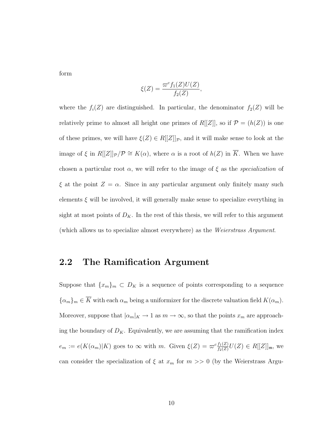form

$$
\xi(Z) = \frac{\varpi^c f_1(Z)U(Z)}{f_2(Z)},
$$

where the  $f_i(Z)$  are distinguished. In particular, the denominator  $f_2(Z)$  will be relatively prime to almost all height one primes of  $R[[Z]]$ , so if  $\mathcal{P} = (h(Z))$  is one of these primes, we will have  $\xi(Z) \in R[[Z]]_{\mathcal{P}}$ , and it will make sense to look at the image of  $\xi$  in  $R[[Z]]_p/\mathcal{P} \cong K(\alpha)$ , where  $\alpha$  is a root of  $h(Z)$  in  $\overline{K}$ . When we have chosen a particular root  $\alpha$ , we will refer to the image of  $\xi$  as the specialization of  $\xi$  at the point  $Z = \alpha$ . Since in any particular argument only finitely many such elements  $\xi$  will be involved, it will generally make sense to specialize everything in sight at most points of  $D_K$ . In the rest of this thesis, we will refer to this argument (which allows us to specialize almost everywhere) as the Weierstrass Argument.

### 2.2 The Ramification Argument

Suppose that  ${x_m}_m \subset D_K$  is a sequence of points corresponding to a sequence  ${\{\alpha_m\}}_m \in \overline{K}$  with each  $\alpha_m$  being a uniformizer for the discrete valuation field  $K(\alpha_m)$ . Moreover, suppose that  $|\alpha_m|_K \to 1$  as  $m \to \infty$ , so that the points  $x_m$  are approaching the boundary of  $D_K$ . Equivalently, we are assuming that the ramification index  $e_m := e(K(\alpha_m)|K)$  goes to  $\infty$  with m. Given  $\xi(Z) = \varpi^c \frac{f_1(Z)}{f_2(Z)} U(Z) \in R[[Z]]_{\mathfrak{m}}$ , we can consider the specialization of  $\xi$  at  $x_m$  for  $m >> 0$  (by the Weierstrass Argu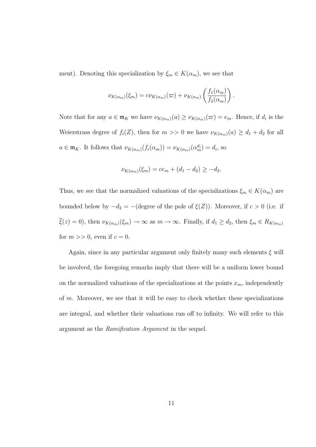ment). Denoting this specialization by  $\xi_m \in K(\alpha_m)$ , we see that

$$
\nu_{K(\alpha_m)}(\xi_m) = c\nu_{K(\alpha_m)}(\varpi) + \nu_{K(\alpha_m)}\left(\frac{f_1(\alpha_m)}{f_2(\alpha_m)}\right).
$$

Note that for any  $a \in \mathfrak{m}_K$  we have  $\nu_{K(\alpha_m)}(a) \geq \nu_{K(\alpha_m)}(\varpi) = e_m$ . Hence, if  $d_i$  is the Weierstrass degree of  $f_i(Z)$ , then for  $m >> 0$  we have  $\nu_{K(\alpha_m)}(a) \geq d_1 + d_2$  for all  $a \in \mathfrak{m}_K$ . It follows that  $\nu_{K(\alpha_m)}(f_i(\alpha_m)) = \nu_{K(\alpha_m)}(\alpha_m^{d_i}) = d_i$ , so

$$
\nu_{K(\alpha_m)}(\xi_m) = ce_m + (d_1 - d_2) \ge -d_2.
$$

Thus, we see that the normalized valuations of the specializations  $\xi_m \in K(\alpha_m)$  are bounded below by  $-d_2 = -$ (degree of the pole of  $\xi(Z)$ ). Moreover, if  $c > 0$  (i.e. if  $\overline{\xi}(z) = 0$ , then  $\nu_{K(\alpha_m)}(\xi_m) \to \infty$  as  $m \to \infty$ . Finally, if  $d_1 \geq d_2$ , then  $\xi_m \in R_{K(\alpha_m)}$ for  $m \gg 0$ , even if  $c = 0$ .

Again, since in any particular argument only finitely many such elements  $\xi$  will be involved, the foregoing remarks imply that there will be a uniform lower bound on the normalized valuations of the specializations at the points  $x_m$ , independently of m. Moreover, we see that it will be easy to check whether these specializations are integral, and whether their valuations run off to infinity. We will refer to this argument as the Ramification Argument in the sequel.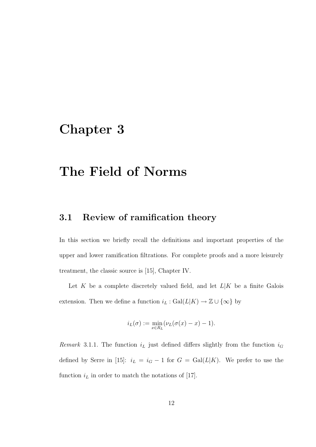## Chapter 3

## The Field of Norms

### 3.1 Review of ramification theory

In this section we briefly recall the definitions and important properties of the upper and lower ramification filtrations. For complete proofs and a more leisurely treatment, the classic source is [15], Chapter IV.

Let K be a complete discretely valued field, and let  $L|K$  be a finite Galois extension. Then we define a function  $i_L : \text{Gal}(L|K) \rightarrow \mathbb{Z} \cup \{\infty\}$  by

$$
i_L(\sigma) := \min_{x \in R_L} (\nu_L(\sigma(x) - x) - 1).
$$

Remark 3.1.1. The function  $i_L$  just defined differs slightly from the function  $i_G$ defined by Serre in [15]:  $i_L = i_G - 1$  for  $G = \text{Gal}(L|K)$ . We prefer to use the function  $i_L$  in order to match the notations of [17].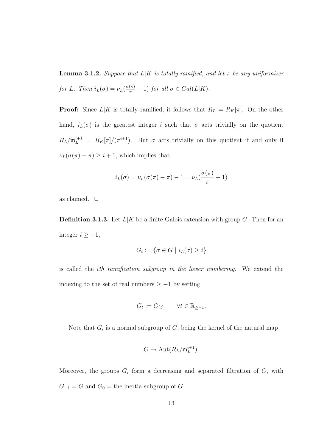**Lemma 3.1.2.** Suppose that  $L|K$  is totally ramified, and let  $\pi$  be any uniformizer for L. Then  $i_L(\sigma) = \nu_L(\frac{\sigma(\pi)}{\pi} - 1)$  for all  $\sigma \in Gal(L|K)$ .

**Proof:** Since  $L|K$  is totally ramified, it follows that  $R_L = R_K[\pi]$ . On the other hand,  $i_L(\sigma)$  is the greatest integer i such that  $\sigma$  acts trivially on the quotient  $R_L/\mathfrak{m}_L^{i+1} = R_K[\pi]/(\pi^{i+1})$ . But  $\sigma$  acts trivially on this quotient if and only if  $\nu_L(\sigma(\pi) - \pi) \geq i + 1$ , which implies that

$$
i_L(\sigma) = \nu_L(\sigma(\pi) - \pi) - 1 = \nu_L(\frac{\sigma(\pi)}{\pi} - 1)
$$

as claimed.  $\Box$ 

**Definition 3.1.3.** Let  $L|K$  be a finite Galois extension with group G. Then for an integer  $i \geq -1$ ,

$$
G_i := \{ \sigma \in G \mid i_L(\sigma) \ge i \}
$$

is called the ith ramification subgroup in the lower numbering. We extend the indexing to the set of real numbers  $\geq -1$  by setting

$$
G_t := G_{\lceil t \rceil} \qquad \forall t \in \mathbb{R}_{\geq -1}.
$$

Note that  $G_i$  is a normal subgroup of  $G$ , being the kernel of the natural map

$$
G \to \mathrm{Aut}(R_L/\mathfrak{m}_L^{i+1}).
$$

Moreover, the groups  $G_i$  form a decreasing and separated filtration of  $G$ , with  $G_{-1} = G$  and  $G_0 =$  the inertia subgroup of G.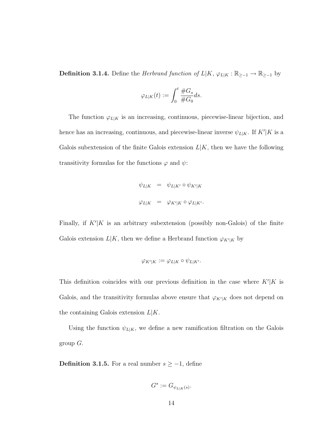**Definition 3.1.4.** Define the *Herbrand function of*  $L|K, \varphi_{L|K} : \mathbb{R}_{\geq -1} \to \mathbb{R}_{\geq -1}$  by

$$
\varphi_{L|K}(t) := \int_0^t \frac{\#G_s}{\#G_0} ds.
$$

The function  $\varphi_{L|K}$  is an increasing, continuous, piecewise-linear bijection, and hence has an increasing, continuous, and piecewise-linear inverse  $\psi_{L|K}$ . If  $K'|K$  is a Galois subextension of the finite Galois extension  $L|K$ , then we have the following transitivity formulas for the functions  $\varphi$  and  $\psi$ :

$$
\psi_{L|K} = \psi_{L|K'} \circ \psi_{K'|K}
$$
  

$$
\varphi_{L|K} = \varphi_{K'|K} \circ \varphi_{L|K'}.
$$

Finally, if  $K'|K$  is an arbitrary subextension (possibly non-Galois) of the finite Galois extension  $L|K$ , then we define a Herbrand function  $\varphi_{K'|K}$  by

$$
\varphi_{K'|K} := \varphi_{L|K} \circ \psi_{L|K'}.
$$

This definition coincides with our previous definition in the case where  $K'|K$  is Galois, and the transitivity formulas above ensure that  $\varphi_{K'|K}$  does not depend on the containing Galois extension  $L|K$ .

Using the function  $\psi_{L|K}$ , we define a new ramification filtration on the Galois group  $G$ .

**Definition 3.1.5.** For a real number  $s \ge -1$ , define

$$
G^s := G_{\psi_{L|K}(s)}.
$$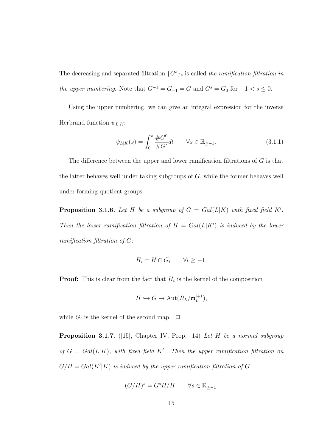The decreasing and separated filtration  $\{G^s\}_s$  is called the ramification filtration in the upper numbering. Note that  $G^{-1} = G_{-1} = G$  and  $G^s = G_0$  for  $-1 < s \leq 0$ .

Using the upper numbering, we can give an integral expression for the inverse Herbrand function  $\psi_{L|K}$ :

$$
\psi_{L|K}(s) = \int_0^s \frac{\#G^0}{\#G^t} dt \qquad \forall s \in \mathbb{R}_{\ge -1}.
$$
\n(3.1.1)

The difference between the upper and lower ramification filtrations of G is that the latter behaves well under taking subgroups of G, while the former behaves well under forming quotient groups.

**Proposition 3.1.6.** Let H be a subgroup of  $G = Gal(L|K)$  with fixed field K'. Then the lower ramification filtration of  $H = Gal(L|K')$  is induced by the lower ramification filtration of G:

$$
H_i = H \cap G_i \qquad \forall i \ge -1.
$$

**Proof:** This is clear from the fact that  $H_i$  is the kernel of the composition

$$
H \hookrightarrow G \to \mathrm{Aut}(R_L/\mathfrak{m}_L^{i+1}),
$$

while  $G_i$  is the kernel of the second map.  $\Box$ 

**Proposition 3.1.7.** ([15], Chapter IV, Prop. 14) Let H be a normal subgroup of  $G = Gal(L|K)$ , with fixed field K'. Then the upper ramification filtration on  $G/H = Gal(K'|K)$  is induced by the upper ramification filtration of G:

$$
(G/H)^s = G^s H/H \qquad \forall s \in \mathbb{R}_{\ge -1}.
$$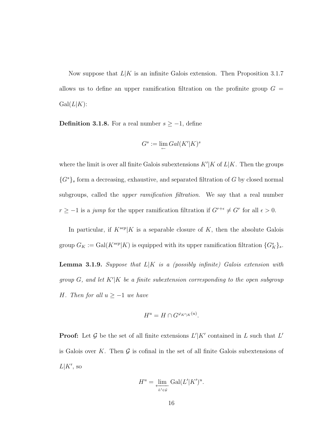Now suppose that  $L|K$  is an infinite Galois extension. Then Proposition 3.1.7 allows us to define an upper ramification filtration on the profinite group  $G =$  $Gal(L|K):$ 

**Definition 3.1.8.** For a real number  $s \geq -1$ , define

$$
G^s:=\lim_{\leftarrow} Gal(K'|K)^s
$$

where the limit is over all finite Galois subextensions  $K'|K$  of  $L|K$ . Then the groups  ${G<sup>s</sup>}$ s form a decreasing, exhaustive, and separated filtration of G by closed normal subgroups, called the upper ramification filtration. We say that a real number  $r \geq -1$  is a jump for the upper ramification filtration if  $G^{r+\epsilon} \neq G^r$  for all  $\epsilon > 0$ .

In particular, if  $K^{sep}|K$  is a separable closure of K, then the absolute Galois group  $G_K := \text{Gal}(K^{sep}|K)$  is equipped with its upper ramification filtration  $\{G_K^s\}_s$ .

**Lemma 3.1.9.** Suppose that  $L|K$  is a (possibly infinite) Galois extension with group  $G$ , and let  $K'|K$  be a finite subextension corresponding to the open subgroup H. Then for all  $u \geq -1$  we have

$$
H^u = H \cap G^{\varphi_{K'|K}(u)}.
$$

**Proof:** Let G be the set of all finite extensions  $L'|K'$  contained in L such that  $L'$ is Galois over K. Then  $\mathcal G$  is cofinal in the set of all finite Galois subextensions of  $L|K'$ , so

$$
H^u = \lim_{\substack{\longleftarrow \\ L' \in \mathcal{G}}} \text{Gal}(L'|K')^u.
$$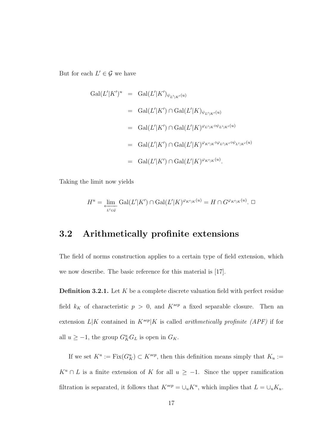But for each  $L' \in \mathcal{G}$  we have

$$
Gal(L'|K')^{u} = Gal(L'|K')_{\psi_{L'|K'}(u)}
$$
  
\n
$$
= Gal(L'|K') \cap Gal(L'|K)_{\psi_{L'|K'}(u)}
$$
  
\n
$$
= Gal(L'|K') \cap Gal(L'|K)^{\varphi_{L'|K}\circ\psi_{L'|K'}(u)}
$$
  
\n
$$
= Gal(L'|K') \cap Gal(L'|K)^{\varphi_{K'|K}\circ\varphi_{L'|K'}\circ\psi_{L'|K'}(u)}
$$
  
\n
$$
= Gal(L'|K') \cap Gal(L'|K)^{\varphi_{K'|K}(u)}.
$$

Taking the limit now yields

$$
H^u = \underbrace{\lim}_{L' \in \mathcal{G}} \text{Gal}(L'|K') \cap \text{Gal}(L'|K)^{\varphi_{K'|K}(u)} = H \cap G^{\varphi_{K'|K}(u)}.
$$

### 3.2 Arithmetically profinite extensions

The field of norms construction applies to a certain type of field extension, which we now describe. The basic reference for this material is [17].

**Definition 3.2.1.** Let  $K$  be a complete discrete valuation field with perfect residue field  $k_K$  of characteristic  $p > 0$ , and  $K^{sep}$  a fixed separable closure. Then an extension  $L|K$  contained in  $K^{sep}|K$  is called *arithmetically profinite (APF)* if for all  $u \ge -1$ , the group  $G_K^u G_L$  is open in  $G_K$ .

If we set  $K^u := \text{Fix}(G_K^u) \subset K^{sep}$ , then this definition means simply that  $K_u :=$  $K^u \cap L$  is a finite extension of K for all  $u \ge -1$ . Since the upper ramification filtration is separated, it follows that  $K^{sep} = \bigcup_u K^u$ , which implies that  $L = \bigcup_u K_u$ .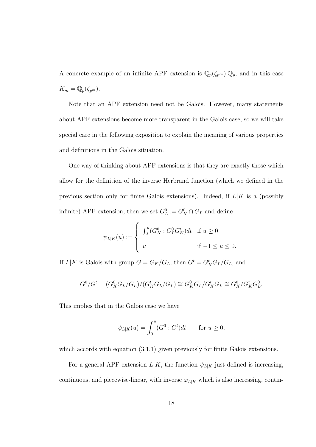A concrete example of an infinite APF extension is  $\mathbb{Q}_p(\zeta_{p^\infty})|\mathbb{Q}_p$ , and in this case  $K_m = \mathbb{Q}_p(\zeta_{p^m}).$ 

Note that an APF extension need not be Galois. However, many statements about APF extensions become more transparent in the Galois case, so we will take special care in the following exposition to explain the meaning of various properties and definitions in the Galois situation.

One way of thinking about APF extensions is that they are exactly those which allow for the definition of the inverse Herbrand function (which we defined in the previous section only for finite Galois extensions). Indeed, if  $L|K$  is a (possibly infinite) APF extension, then we set  $G_L^0 := G_K^0 \cap G_L$  and define

$$
\psi_{L|K}(u) := \begin{cases} \int_0^u (G_K^0 : G_L^0 G_K^t) dt & \text{if } u \ge 0 \\ u & \text{if } -1 \le u \le 0. \end{cases}
$$

If  $L|K$  is Galois with group  $G = G_K/G_L$ , then  $G^t = G_K^t G_L/G_L$ , and

$$
G^0/G^t = (G_K^0 G_L / G_L) / (G_K^t G_L / G_L) \cong G_K^0 G_L / G_K^t G_L \cong G_K^0 / G_K^t G_L^0.
$$

This implies that in the Galois case we have

$$
\psi_{L|K}(u) = \int_0^u (G^0 : G^t) dt \quad \text{for } u \ge 0,
$$

which accords with equation  $(3.1.1)$  given previously for finite Galois extensions.

For a general APF extension  $L|K$ , the function  $\psi_{L|K}$  just defined is increasing, continuous, and piecewise-linear, with inverse  $\varphi_{L|K}$  which is also increasing, contin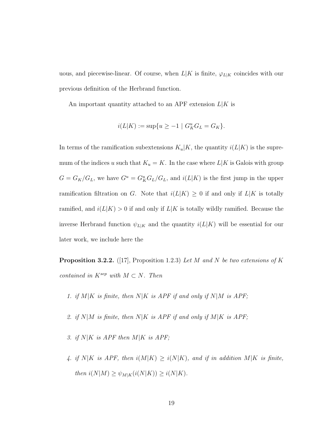uous, and piecewise-linear. Of course, when  $L|K$  is finite,  $\varphi_{L|K}$  coincides with our previous definition of the Herbrand function.

An important quantity attached to an APF extension  $L|K$  is

$$
i(L|K) := \sup\{u \ge -1 \mid G^u_K G_L = G_K\}.
$$

In terms of the ramification subextensions  $K_u|K$ , the quantity  $i(L|K)$  is the supremum of the indices u such that  $K_u = K$ . In the case where  $L|K$  is Galois with group  $G = G_K/G_L$ , we have  $G^u = G_K^u G_L/G_L$ , and  $i(L|K)$  is the first jump in the upper ramification filtration on G. Note that  $i(L|K) \geq 0$  if and only if  $L|K$  is totally ramified, and  $i(L|K) > 0$  if and only if  $L|K$  is totally wildly ramified. Because the inverse Herbrand function  $\psi_{L|K}$  and the quantity  $i(L|K)$  will be essential for our later work, we include here the

**Proposition 3.2.2.** ([17], Proposition 1.2.3) Let M and N be two extensions of K contained in  $K^{sep}$  with  $M \subset N$ . Then

- 1. if  $M|K$  is finite, then  $N|K$  is APF if and only if  $N|M$  is APF;
- 2. if  $N|M$  is finite, then  $N|K$  is APF if and only if  $M|K$  is APF;
- 3. if  $N|K$  is APF then  $M|K$  is APF;
- 4. if  $N|K$  is APF, then  $i(M|K) \ge i(N|K)$ , and if in addition  $M|K$  is finite, then  $i(N|M) \geq \psi_{M|K}(i(N|K)) \geq i(N|K)$ .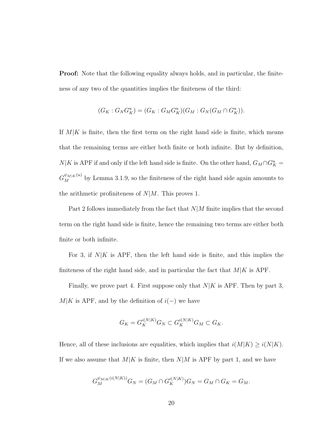Proof: Note that the following equality always holds, and in particular, the finiteness of any two of the quantities implies the finiteness of the third:

$$
(G_K: G_N G_K^u) = (G_K: G_M G_K^u)(G_M: G_N(G_M \cap G_K^u)).
$$

If  $M/K$  is finite, then the first term on the right hand side is finite, which means that the remaining terms are either both finite or both infinite. But by definition,  $N|K$  is APF if and only if the left hand side is finite. On the other hand,  $G_M \cap G_K^u$  $G_M^{\psi_{M|K}(u)}$  by Lemma 3.1.9, so the finiteness of the right hand side again amounts to the arithmetic profiniteness of  $N|M$ . This proves 1.

Part 2 follows immediately from the fact that  $N/M$  finite implies that the second term on the right hand side is finite, hence the remaining two terms are either both finite or both infinite.

For 3, if  $N|K$  is APF, then the left hand side is finite, and this implies the finiteness of the right hand side, and in particular the fact that  $M/K$  is APF.

Finally, we prove part 4. First suppose only that  $N|K$  is APF. Then by part 3,  $M|K$  is APF, and by the definition of  $i(-)$  we have

$$
G_K = G_K^{i(N|K)} G_N \subset G_K^{i(N|K)} G_M \subset G_K.
$$

Hence, all of these inclusions are equalities, which implies that  $i(M|K) \geq i(N|K)$ . If we also assume that  $M|K$  is finite, then  $N|M$  is APF by part 1, and we have

$$
G_M^{\psi_{M|K}(i(N|K))}G_N = (G_M \cap G_K^{i(N|K)})G_N = G_M \cap G_K = G_M.
$$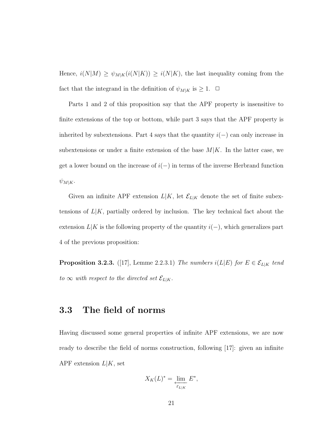Hence,  $i(N|M) \ge \psi_{M|K}(i(N|K)) \ge i(N|K)$ , the last inequality coming from the fact that the integrand in the definition of  $\psi_{M|K}$  is  $\geq 1$ .  $\Box$ 

Parts 1 and 2 of this proposition say that the APF property is insensitive to finite extensions of the top or bottom, while part 3 says that the APF property is inherited by subextensions. Part 4 says that the quantity  $i(-)$  can only increase in subextensions or under a finite extension of the base  $M|K$ . In the latter case, we get a lower bound on the increase of  $i(-)$  in terms of the inverse Herbrand function  $\psi_{M|K}$ .

Given an infinite APF extension  $L|K$ , let  $\mathcal{E}_{L|K}$  denote the set of finite subextensions of  $L|K$ , partially ordered by inclusion. The key technical fact about the extension  $L|K$  is the following property of the quantity  $i(-)$ , which generalizes part 4 of the previous proposition:

**Proposition 3.2.3.** ([17], Lemme 2.2.3.1) The numbers  $i(L|E)$  for  $E \in \mathcal{E}_{L|K}$  tend to  $\infty$  with respect to the directed set  $\mathcal{E}_{L|K}$ .

#### 3.3 The field of norms

Having discussed some general properties of infinite APF extensions, we are now ready to describe the field of norms construction, following [17]: given an infinite APF extension  $L|K$ , set

$$
X_K(L)^* = \varprojlim_{\varepsilon_{L|K}} E^*,
$$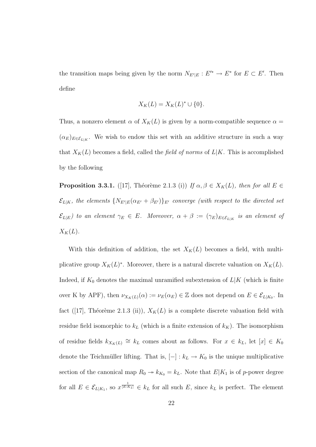the transition maps being given by the norm  $N_{E'|E}: E'^* \to E^*$  for  $E \subset E'$ . Then define

$$
X_K(L) = X_K(L)^* \cup \{0\}.
$$

Thus, a nonzero element  $\alpha$  of  $X_K(L)$  is given by a norm-compatible sequence  $\alpha =$  $(\alpha_E)_{E \in \mathcal{E}_{L|K}}$ . We wish to endow this set with an additive structure in such a way that  $X_K(L)$  becomes a field, called the *field of norms* of  $L|K$ . This is accomplished by the following

**Proposition 3.3.1.** ([17], Théorème 2.1.3 (i)) If  $\alpha, \beta \in X_K(L)$ , then for all  $E \in$  $\mathcal{E}_{L|K},$  the elements  $\{N_{E'|E}(\alpha_{E'}+\beta_{E'})\}_{E'}$  converge (with respect to the directed set  $\mathcal{E}_{L|E}$ ) to an element  $\gamma_E \in E$ . Moreover,  $\alpha + \beta := (\gamma_E)_{E \in \mathcal{E}_{L|K}}$  is an element of  $X_K(L)$ .

With this definition of addition, the set  $X_K(L)$  becomes a field, with multiplicative group  $X_K(L)^*$ . Moreover, there is a natural discrete valuation on  $X_K(L)$ . Indeed, if  $K_0$  denotes the maximal unramified subextension of  $L|K$  (which is finite over K by APF), then  $\nu_{X_K(L)}(\alpha) := \nu_E(\alpha_E) \in \mathbb{Z}$  does not depend on  $E \in \mathcal{E}_{L|K_0}$ . In fact ([17], Théorème 2.1.3 (ii)),  $X_K(L)$  is a complete discrete valuation field with residue field isomorphic to  $k<sub>L</sub>$  (which is a finite extension of  $k<sub>K</sub>$ ). The isomorphism of residue fields  $k_{X_K(L)} \cong k_L$  comes about as follows. For  $x \in k_L$ , let  $[x] \in K_0$ denote the Teichmüller lifting. That is,  $[-] : k_L \to K_0$  is the unique multiplicative section of the canonical map  $R_0 \rightarrow k_{K_0} = k_L$ . Note that  $E|K_1$  is of p-power degree for all  $E \in \mathcal{E}_{L|K_1}$ , so  $x^{\frac{1}{[E:K_1]}} \in k_L$  for all such E, since  $k_L$  is perfect. The element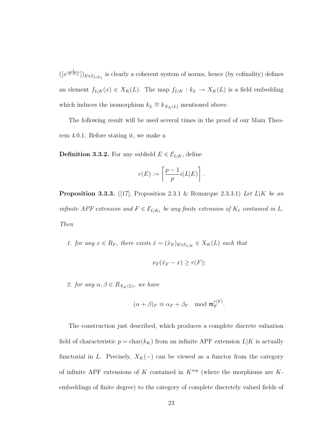$([x^{\frac{1}{[E:K_1]}}])_{E \in \mathcal{E}_{L|K_1}}$  is clearly a coherent system of norms, hence (by cofinality) defines an element  $f_{L|K}(x) \in X_K(L)$ . The map  $f_{L|K}: k_L \to X_K(L)$  is a field embedding which induces the isomorphism  $k_L \cong k_{X_K(L)}$  mentioned above.

The following result will be used several times in the proof of our Main Theorem 4.0.1. Before stating it, we make a

**Definition 3.3.2.** For any subfield  $E \in \mathcal{E}_{L|K}$ , define

$$
r(E) := \left\lceil \frac{p-1}{p} i(L|E) \right\rceil.
$$

**Proposition 3.3.3.** ([17], Proposition 2.3.1 & Remarque 2.3.3.1) Let  $L|K$  be an infinite APF extension and  $F \in \mathcal{E}_{L|K_1}$  be any finite extension of  $K_1$  contained in L. Then

1. for any  $x \in R_F$ , there exists  $\hat{x} = (\hat{x}_E)_{E \in \mathcal{E}_{L|K}} \in X_K(L)$  such that

$$
\nu_F(\hat{x}_F - x) \ge r(F);
$$

2. for any  $\alpha, \beta \in R_{X_K(L)}$ , we have

$$
(\alpha + \beta)_F \equiv \alpha_F + \beta_F \mod \mathfrak{m}_F^{r(F)}.
$$

The construction just described, which produces a complete discrete valuation field of characteristic  $p = \text{char}(k_K)$  from an infinite APF extension  $L|K$  is actually functorial in L. Precisely,  $X_K(-)$  can be viewed as a functor from the category of infinite APF extensions of K contained in  $K^{sep}$  (where the morphisms are Kembeddings of finite degree) to the category of complete discretely valued fields of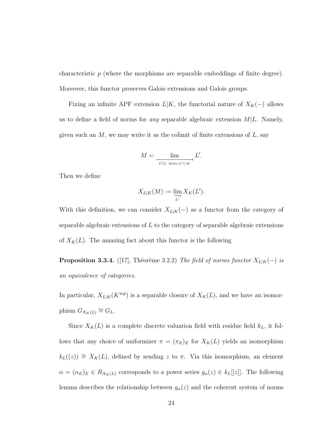characteristic  $p$  (where the morphisms are separable embeddings of finite degree). Moreover, this functor preserves Galois extensions and Galois groups.

Fixing an infinite APF extension  $L|K$ , the functorial nature of  $X_K(-)$  allows us to define a field of norms for *any* separable algebraic extension  $M/L$ . Namely, given such an  $M$ , we may write it as the colimit of finite extensions of  $L$ , say

$$
M = \frac{\lim}{L' \mid L \text{ finite}, L' \subset M} L'.
$$

Then we define

$$
X_{L|K}(M) := \varinjlim_{L'} X_K(L').
$$

With this definition, we can consider  $X_{L|K}(-)$  as a functor from the category of separable algebraic extensions of  $L$  to the category of separable algebraic extensions of  $X_K(L)$ . The amazing fact about this functor is the following

**Proposition 3.3.4.** ([17], Théorème 3.2.2) The field of norms functor  $X_{L|K}(-)$  is an equivalence of categories.

In particular,  $X_{L|K}(K^{sep})$  is a separable closure of  $X_K(L)$ , and we have an isomorphism  $G_{X_K(L)} \cong G_L$ .

Since  $X_K(L)$  is a complete discrete valuation field with residue field  $k_L$ , it follows that any choice of uniformizer  $\pi = (\pi_E)_E$  for  $X_K(L)$  yields an isomorphism  $k_L((z)) \cong X_K(L)$ , defined by sending z to  $\pi$ . Via this isomorphism, an element  $\alpha = (\alpha_E)_E \in R_{X_K(L)}$  corresponds to a power series  $g_\alpha(z) \in k_L[[z]]$ . The following lemma describes the relationship between  $g_{\alpha}(z)$  and the coherent system of norms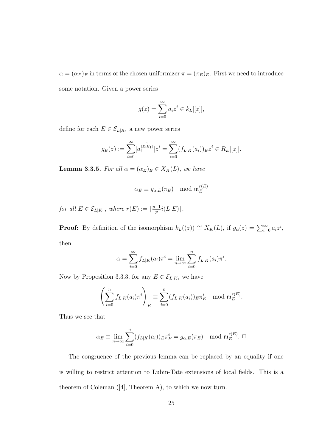$\alpha = (\alpha_E)_E$  in terms of the chosen uniformizer  $\pi = (\pi_E)_E$ . First we need to introduce some notation. Given a power series

$$
g(z) = \sum_{i=0}^{\infty} a_i z^i \in k_L[[z]],
$$

define for each  $E \in \mathcal{E}_{L|K_1}$  a new power series

$$
g_E(z) := \sum_{i=0}^{\infty} [a_i^{\frac{1}{[E:K_1]}}] z^i = \sum_{i=0}^{\infty} (f_{L|K}(a_i))_E z^i \in R_E[[z]].
$$

**Lemma 3.3.5.** For all  $\alpha = (\alpha_E)_E \in X_K(L)$ , we have

$$
\alpha_E \equiv g_{\alpha,E}(\pi_E) \mod \mathfrak{m}_E^{r(E)}
$$

for all  $E \in \mathcal{E}_{L|K_1}$ , where  $r(E) := \lceil \frac{p-1}{p} \rceil$  $\frac{-1}{p}i(L|E)\rceil$ .

**Proof:** By definition of the isomorphism  $k_L((z)) \cong X_K(L)$ , if  $g_\alpha(z) = \sum_{i=0}^{\infty} a_i z^i$ , then

$$
\alpha = \sum_{i=0}^{\infty} f_{L|K}(a_i) \pi^i = \lim_{n \to \infty} \sum_{i=0}^n f_{L|K}(a_i) \pi^i.
$$

Now by Proposition 3.3.3, for any  $E \in \mathcal{E}_{L|K_1}$  we have

$$
\left(\sum_{i=0}^n f_{L|K}(a_i)\pi^i\right)_E \equiv \sum_{i=0}^n (f_{L|K}(a_i))_E \pi^i_E \mod \mathfrak{m}_E^{r(E)}.
$$

Thus we see that

$$
\alpha_E \equiv \lim_{n \to \infty} \sum_{i=0}^n (f_{L|K}(a_i))_E \pi_E^i = g_{\alpha,E}(\pi_E) \mod \mathfrak{m}_E^{r(E)}.
$$

The congruence of the previous lemma can be replaced by an equality if one is willing to restrict attention to Lubin-Tate extensions of local fields. This is a theorem of Coleman ([4], Theorem A), to which we now turn.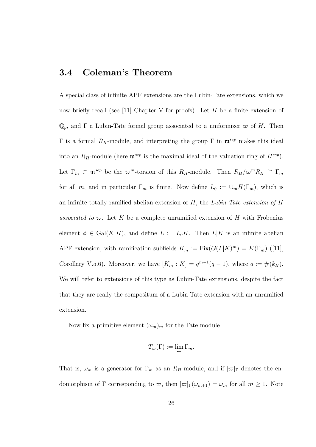#### 3.4 Coleman's Theorem

A special class of infinite APF extensions are the Lubin-Tate extensions, which we now briefly recall (see [11] Chapter V for proofs). Let  $H$  be a finite extension of  $\mathbb{Q}_p$ , and  $\Gamma$  a Lubin-Tate formal group associated to a uniformizer  $\varpi$  of H. Then Γ is a formal  $R$ <sub>H</sub>-module, and interpreting the group Γ in  $\mathfrak{m}^{sep}$  makes this ideal into an  $R_H$ -module (here  $\mathfrak{m}^{sep}$  is the maximal ideal of the valuation ring of  $H^{sep}$ ). Let  $\Gamma_m \subset \mathfrak{m}^{sep}$  be the  $\varpi^m$ -torsion of this  $R_H$ -module. Then  $R_H/\varpi^mR_H \cong \Gamma_m$ for all m, and in particular  $\Gamma_m$  is finite. Now define  $L_0 := \cup_m H(\Gamma_m)$ , which is an infinite totally ramified abelian extension of  $H$ , the Lubin-Tate extension of  $H$ associated to  $\varpi$ . Let K be a complete unramified extension of H with Frobenius element  $\phi \in \text{Gal}(K|H)$ , and define  $L := L_0K$ . Then  $L|K$  is an infinite abelian APF extension, with ramification subfields  $K_m := \text{Fix}(G(L|K)^m) = K(\Gamma_m)$  ([11], Corollary V.5.6). Moreover, we have  $[K_m : K] = q^{m-1}(q-1)$ , where  $q := \#(k_H)$ . We will refer to extensions of this type as Lubin-Tate extensions, despite the fact that they are really the compositum of a Lubin-Tate extension with an unramified extension.

Now fix a primitive element  $(\omega_m)_m$  for the Tate module

$$
T_{\varpi}(\Gamma) := \lim_{\leftarrow} \Gamma_m.
$$

That is,  $\omega_m$  is a generator for  $\Gamma_m$  as an  $R_H$ -module, and if  $[\varpi]_\Gamma$  denotes the endomorphism of  $\Gamma$  corresponding to  $\varpi$ , then  $[\varpi]_{\Gamma}(\omega_{m+1}) = \omega_m$  for all  $m \geq 1$ . Note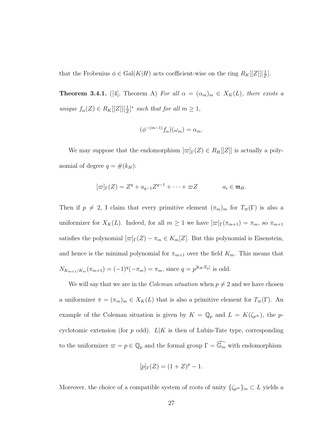that the Frobenius  $\phi \in \text{Gal}(K|H)$  acts coefficient-wise on the ring  $R_K[[Z]][\frac{1}{Z}].$ 

**Theorem 3.4.1.** ([4], Theorem A) For all  $\alpha = (\alpha_m)_m \in X_K(L)$ , there exists a unique  $f_{\alpha}(Z) \in R_K[[Z]][\frac{1}{Z}]^*$  such that for all  $m \geq 1$ ,

$$
(\phi^{-(m-1)}f_{\alpha})(\omega_m) = \alpha_m.
$$

We may suppose that the endomorphism  $[\varpi]$  $[\varpi]$  $[\varpi]$  is actually a polynomial of degree  $q = \#(k_H)$ :

$$
[\varpi]_{\Gamma}(Z) = Z^q + a_{q-1}Z^{q-1} + \cdots + \varpi Z \qquad a_i \in \mathfrak{m}_H.
$$

Then if  $p \neq 2$ , I claim that every primitive element  $(\pi_m)_m$  for  $T_{\varpi}(\Gamma)$  is also a uniformizer for  $X_K(L)$ . Indeed, for all  $m \geq 1$  we have  $[\varpi]_{\Gamma}(\pi_{m+1}) = \pi_m$ , so  $\pi_{m+1}$ satisfies the polynomial  $[\varpi]_{\Gamma}(Z) - \pi_m \in K_m[Z]$ . But this polynomial is Eisenstein, and hence is the minimal polynomial for  $\pi_{m+1}$  over the field  $K_m$ . This means that  $N_{K_{m+1}/K_m}(\pi_{m+1}) = (-1)^q(-\pi_m) = \pi_m$ , since  $q = p^{[k_H : \mathbb{F}_p]}$  is odd.

We will say that we are in the *Coleman situation* when  $p \neq 2$  and we have chosen a uniformizer  $\pi = (\pi_m)_m \in X_K(L)$  that is also a primitive element for  $T_{\varpi}(\Gamma)$ . An example of the Coleman situation is given by  $K = \mathbb{Q}_p$  and  $L = K(\zeta_{p^{\infty}})$ , the pcyclotomic extension (for p odd).  $L|K$  is then of Lubin-Tate type, corresponding to the uniformizer  $\varpi = p \in \mathbb{Q}_p$  and the formal group  $\Gamma = \widehat{\mathbb{G}_m}$  with endomorphism

$$
[p]_{\Gamma}(Z) = (1+Z)^p - 1.
$$

Moreover, the choice of a compatible system of roots of unity  $\{\zeta_{p^m}\}_m \subset L$  yields a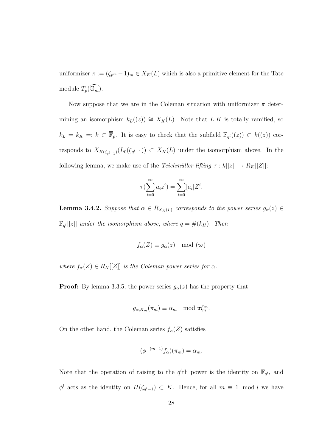uniformizer  $\pi := (\zeta_{p^m} - 1)_m \in X_K(L)$  which is also a primitive element for the Tate module  $T_p(\widehat{\mathbb{G}_m})$ .

Now suppose that we are in the Coleman situation with uniformizer  $\pi$  determining an isomorphism  $k_L((z)) \cong X_K(L)$ . Note that  $L|K$  is totally ramified, so  $k_L = k_K =: k \subset \overline{\mathbb{F}}_p$ . It is easy to check that the subfield  $\mathbb{F}_{q^l}((z)) \subset k((z))$  corresponds to  $X_{H(\zeta_{q^l-1})}(L_0(\zeta_{q^l-1})) \subset X_K(L)$  under the isomorphism above. In the following lemma, we make use of the *Teichmüller lifting*  $\tau : k[[z]] \to R_K[[Z]]$ :

$$
\tau(\sum_{i=0}^{\infty} a_i z^i) = \sum_{i=0}^{\infty} [a_i] Z^i.
$$

**Lemma 3.4.2.** Suppose that  $\alpha \in R_{X_K(L)}$  corresponds to the power series  $g_{\alpha}(z) \in$  $\mathbb{F}_{q^l}[[z]]$  under the isomorphism above, where  $q = \#(k_H)$ . Then

$$
f_{\alpha}(Z) \equiv g_{\alpha}(z) \mod (\varpi)
$$

where  $f_{\alpha}(Z) \in R_K[[Z]]$  is the Coleman power series for  $\alpha$ .

**Proof:** By lemma 3.3.5, the power series  $g_{\alpha}(z)$  has the property that

$$
g_{\alpha,K_m}(\pi_m) \equiv \alpha_m \mod \mathfrak{m}_m^{r_m}.
$$

On the other hand, the Coleman series  $f_{\alpha}(Z)$  satisfies

$$
(\phi^{-(m-1)}f_{\alpha})(\pi_m) = \alpha_m.
$$

Note that the operation of raising to the  $q^l$ th power is the identity on  $\mathbb{F}_{q^l}$ , and  $\phi^l$  acts as the identity on  $H(\zeta_{q^l-1}) \subset K$ . Hence, for all  $m \equiv 1 \mod l$  we have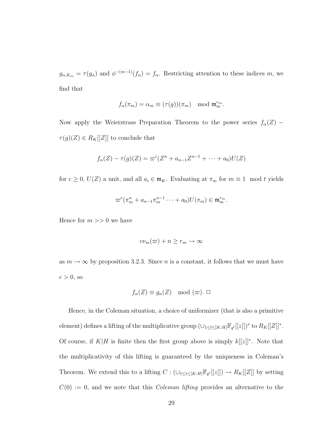$g_{\alpha,K_m} = \tau(g_\alpha)$  and  $\phi^{-(m-1)}(f_\alpha) = f_\alpha$ . Restricting attention to these indices m, we find that

$$
f_{\alpha}(\pi_m) = \alpha_m \equiv (\tau(g))(\pi_m) \mod \mathfrak{m}_m^{r_m}.
$$

Now apply the Weierstrass Preparation Theorem to the power series  $f_\alpha(Z)$  –  $\tau(g)(Z) \in R_K[[Z]]$  to conclude that

$$
f_{\alpha}(Z) - \tau(g)(Z) = \varpi^{c}(Z^{n} + a_{n-1}Z^{n-1} + \cdots + a_0)U(Z)
$$

for  $c \ge 0$ ,  $U(Z)$  a unit, and all  $a_i \in \mathfrak{m}_K$ . Evaluating at  $\pi_m$  for  $m \equiv 1 \mod t$  yields

$$
\varpi^c(\pi_m^n + a_{n-1}\pi_m^{n-1}\cdots + a_0)U(\pi_m) \in \mathfrak{m}_m^{r_m}.
$$

Hence for  $m >> 0$  we have

$$
c\nu_m(\varpi) + n \ge r_m \to \infty
$$

as  $m \to \infty$  by proposition 3.2.3. Since *n* is a constant, it follows that we must have  $c > 0$ , so

$$
f_{\alpha}(Z) \equiv g_{\alpha}(Z) \mod (\varpi). \Box
$$

Hence, in the Coleman situation, a choice of uniformizer (that is also a primitive element) defines a lifting of the multiplicative group  $(\bigcup_{1 \leq l \leq [K:H]} \mathbb{F}_{q^l}[[z]])^*$  to  $R_K[[Z]]^*$ . Of course, if  $K|H$  is finite then the first group above is simply  $k[[z]]^*$ . Note that the multiplicativity of this lifting is guaranteed by the uniqueness in Coleman's Theorem. We extend this to a lifting  $C: (\cup_{1 \leq t \leq [K:H]} \mathbb{F}_{q^t}[[z]]) \to R_K[[Z]]$  by setting  $C(0) := 0$ , and we note that this *Coleman lifting* provides an alternative to the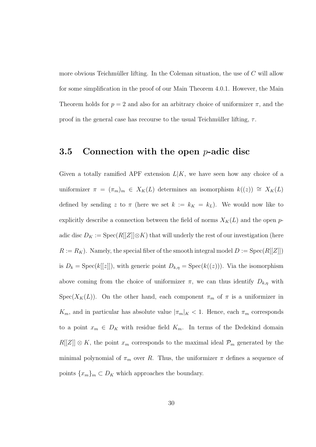more obvious Teichmüller lifting. In the Coleman situation, the use of  $C$  will allow for some simplification in the proof of our Main Theorem 4.0.1. However, the Main Theorem holds for  $p = 2$  and also for an arbitrary choice of uniformizer  $\pi$ , and the proof in the general case has recourse to the usual Teichmüller lifting,  $\tau$ .

#### 3.5 Connection with the open  $p$ -adic disc

Given a totally ramified APF extension  $L|K$ , we have seen how any choice of a uniformizer  $\pi = (\pi_m)_m \in X_K(L)$  determines an isomorphism  $k((z)) \cong X_K(L)$ defined by sending z to  $\pi$  (here we set  $k := k_K = k_L$ ). We would now like to explicitly describe a connection between the field of norms  $X_K(L)$  and the open padic disc  $D_K := \mathrm{Spec}(R[[Z]]\otimes K)$  that will underly the rest of our investigation (here  $R := R_K$ ). Namely, the special fiber of the smooth integral model  $D := \text{Spec}(R[[Z]])$ is  $D_k = \text{Spec}(k[[z]])$ , with generic point  $D_{k,\eta} = \text{Spec}(k((z)))$ . Via the isomorphism above coming from the choice of uniformizer  $\pi$ , we can thus identify  $D_{k,\eta}$  with  $Spec(X_K(L))$ . On the other hand, each component  $\pi_m$  of  $\pi$  is a uniformizer in  $K_m$ , and in particular has absolute value  $|\pi_m|_K < 1$ . Hence, each  $\pi_m$  corresponds to a point  $x_m \in D_K$  with residue field  $K_m$ . In terms of the Dedekind domain  $R[[Z]] \otimes K$ , the point  $x_m$  corresponds to the maximal ideal  $\mathcal{P}_m$  generated by the minimal polynomial of  $\pi_m$  over R. Thus, the uniformizer  $\pi$  defines a sequence of points  ${x_m}_m \subset D_K$  which approaches the boundary.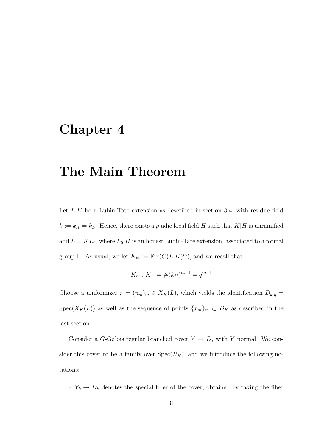### Chapter 4

## The Main Theorem

Let  $L|K$  be a Lubin-Tate extension as described in section 3.4, with residue field  $k := k_K = k_L$ . Hence, there exists a *p*-adic local field H such that  $K|H$  is unramified and  $L = KL_0$ , where  $L_0|H$  is an honest Lubin-Tate extension, associated to a formal group  $\Gamma$ . As usual, we let  $K_m := \text{Fix}(G(L|K)^m)$ , and we recall that

$$
[K_m : K_1] = \#(k_H)^{m-1} = q^{m-1}.
$$

Choose a uniformizer  $\pi = (\pi_m)_m \in X_K(L)$ , which yields the identification  $D_{k,\eta} =$ Spec( $X_K(L)$ ) as well as the sequence of points  $\{x_m\}_m \subset D_K$  as described in the last section.

Consider a G-Galois regular branched cover  $Y \to D$ , with Y normal. We consider this cover to be a family over  $Spec(R_K)$ , and we introduce the following notations:

-  $Y_k \to D_k$  denotes the special fiber of the cover, obtained by taking the fiber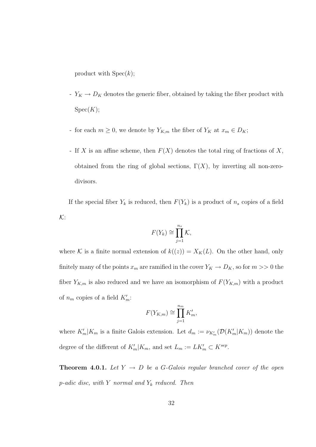product with  $Spec(k)$ ;

- $Y_K \to D_K$  denotes the generic fiber, obtained by taking the fiber product with  $Spec(K);$
- for each  $m \ge 0$ , we denote by  $Y_{K,m}$  the fiber of  $Y_K$  at  $x_m \in D_K$ ;
- If X is an affine scheme, then  $F(X)$  denotes the total ring of fractions of X, obtained from the ring of global sections,  $\Gamma(X)$ , by inverting all non-zerodivisors.

If the special fiber  $Y_k$  is reduced, then  $F(Y_k)$  is a product of  $n_s$  copies of a field K:

$$
F(Y_k) \cong \prod_{j=1}^{n_s} \mathcal{K},
$$

where K is a finite normal extension of  $k((z)) = X_K(L)$ . On the other hand, only finitely many of the points  $x_m$  are ramified in the cover  $Y_K \to D_K$ , so for  $m >> 0$  the fiber  $Y_{K,m}$  is also reduced and we have an isomorphism of  $F(Y_{K,m})$  with a product of  $n_m$  copies of a field  $K'_m$ :

$$
F(Y_{K,m}) \cong \prod_{j=1}^{n_m} K'_m,
$$

where  $K'_m|K_m$  is a finite Galois extension. Let  $d_m := \nu_{K'_m}(\mathcal{D}(K'_m|K_m))$  denote the degree of the different of  $K'_m|K_m$ , and set  $L_m := LK'_m \subset K^{sep}$ .

**Theorem 4.0.1.** Let  $Y \rightarrow D$  be a G-Galois regular branched cover of the open  $p\text{-}adic disc, with $Y$ normal and $Y_k$ reduced. Then$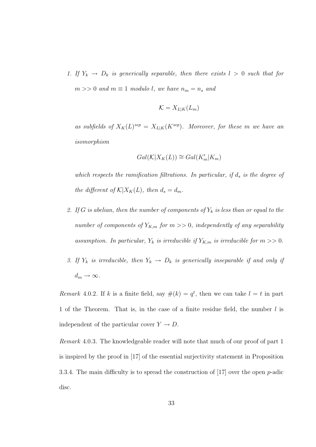1. If  $Y_k \to D_k$  is generically separable, then there exists  $l > 0$  such that for  $m >> 0$  and  $m \equiv 1$  modulo l, we have  $n_m = n_s$  and

$$
\mathcal{K}=X_{L|K}(L_m)
$$

as subfields of  $X_K(L)^{sep} = X_{L|K}(K^{sep})$ . Moreover, for these m we have an isomorphism

$$
Gal(\mathcal{K}|X_K(L)) \cong Gal(K'_m|K_m)
$$

which respects the ramification filtrations. In particular, if  $d_s$  is the degree of the different of  $K|X_K(L)$ , then  $d_s = d_m$ .

- 2. If G is abelian, then the number of components of  $Y_k$  is less than or equal to the number of components of  $Y_{K,m}$  for  $m >> 0$ , independently of any separability assumption. In particular,  $Y_k$  is irreducible if  $Y_{K,m}$  is irreducible for  $m >> 0$ .
- 3. If  $Y_k$  is irreducible, then  $Y_k \to D_k$  is generically inseparable if and only if  $d_m \to \infty$ .

Remark 4.0.2. If k is a finite field, say  $\#(k) = q^t$ , then we can take  $l = t$  in part 1 of the Theorem. That is, in the case of a finite residue field, the number l is independent of the particular cover  $Y \to D$ .

Remark 4.0.3. The knowledgeable reader will note that much of our proof of part 1 is inspired by the proof in [17] of the essential surjectivity statement in Proposition 3.3.4. The main difficulty is to spread the construction of  $[17]$  over the open p-adic disc.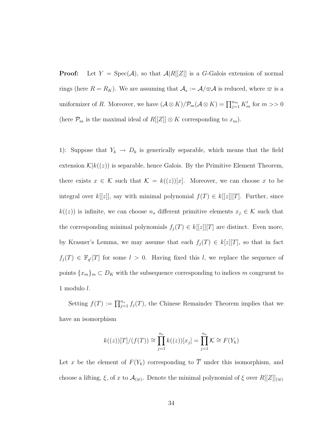**Proof:** Let  $Y = \text{Spec}(\mathcal{A})$ , so that  $\mathcal{A}|R[[Z]]$  is a G-Galois extension of normal rings (here  $R = R_K$ ). We are assuming that  $A_s := \mathcal{A}/\varpi \mathcal{A}$  is reduced, where  $\varpi$  is a uniformizer of R. Moreover, we have  $(\mathcal{A} \otimes K)/\mathcal{P}_m(\mathcal{A} \otimes K) = \prod_{j=1}^{n_m} K'_m$  for  $m >> 0$ (here  $\mathcal{P}_m$  is the maximal ideal of  $R[[Z]] \otimes K$  corresponding to  $x_m$ ).

1): Suppose that  $Y_k \to D_k$  is generically separable, which means that the field extension  $\mathcal{K}|k((z))$  is separable, hence Galois. By the Primitive Element Theorem, there exists  $x \in \mathcal{K}$  such that  $\mathcal{K} = k((z))[x]$ . Moreover, we can choose x to be integral over k[[z]], say with minimal polynomial  $f(T) \in k[[z]][T]$ . Further, since  $k((z))$  is infinite, we can choose  $n_s$  different primitive elements  $x_j \in \mathcal{K}$  such that the corresponding minimal polynomials  $f_j(T) \in k[[z]][T]$  are distinct. Even more, by Krasner's Lemma, we may assume that each  $f_j(T) \in k[z][T]$ , so that in fact  $f_j(T) \in \mathbb{F}_{q^l}[T]$  for some  $l > 0$ . Having fixed this l, we replace the sequence of points  ${x_m}_m \subset D_K$  with the subsequence corresponding to indices m congruent to 1 modulo l.

Setting  $f(T) := \prod_{j=1}^{n_s} f_j(T)$ , the Chinese Remainder Theorem implies that we have an isomorphism

$$
k((z))[T]/(f(T)) \cong \prod_{j=1}^{n_s} k((z))[x_j] = \prod_{j=1}^{n_s} \mathcal{K} \cong F(Y_k)
$$

Let x be the element of  $F(Y_k)$  corresponding to  $\overline{T}$  under this isomorphism, and choose a lifting,  $\xi$ , of x to  $\mathcal{A}_{(\varpi)}$ . Denote the minimal polynomial of  $\xi$  over  $R[[Z]]_{(\varpi)}$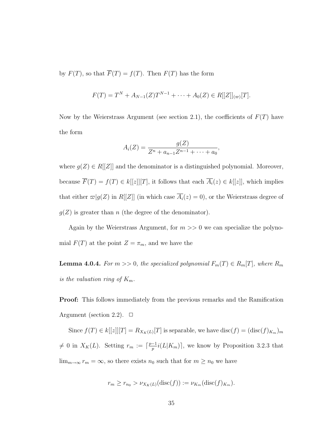by  $F(T)$ , so that  $\overline{F}(T) = f(T)$ . Then  $F(T)$  has the form

$$
F(T) = T^{N} + A_{N-1}(Z)T^{N-1} + \cdots + A_{0}(Z) \in R[[Z]]_{(\infty)}[T].
$$

Now by the Weierstrass Argument (see section 2.1), the coefficients of  $F(T)$  have the form

$$
A_i(Z) = \frac{g(Z)}{Z^n + a_{n-1}Z^{n-1} + \dots + a_0},
$$

where  $g(Z) \in R[[Z]]$  and the denominator is a distinguished polynomial. Moreover, because  $\overline{F}(T) = f(T) \in k[[z]][T]$ , it follows that each  $\overline{A_i}(z) \in k[[z]]$ , which implies that either  $\varpi|g(Z)$  in  $R[[Z]]$  (in which case  $\overline{A_i}(z) = 0$ ), or the Weierstrass degree of  $g(Z)$  is greater than n (the degree of the denominator).

Again by the Weierstrass Argument, for  $m \gg 0$  we can specialize the polynomial  $F(T)$  at the point  $Z = \pi_m$ , and we have the

**Lemma 4.0.4.** For  $m >> 0$ , the specialized polynomial  $F_m(T) \in R_m[T]$ , where  $R_m$ is the valuation ring of  $K_m$ .

Proof: This follows immediately from the previous remarks and the Ramification Argument (section 2.2).  $\Box$ 

Since  $f(T) \in k[[z]][T] = R_{X_K(L)}[T]$  is separable, we have  $\text{disc}(f) = (\text{disc}(f)_{K_m})_m$  $\neq 0$  in  $X_K(L)$ . Setting  $r_m := \lceil \frac{p-1}{n} \rceil$  $\frac{-1}{p}i(L|K_m)$ , we know by Proposition 3.2.3 that  $\lim_{m\to\infty} r_m = \infty$ , so there exists  $n_0$  such that for  $m \ge n_0$  we have

$$
r_m \ge r_{n_0} > \nu_{X_K(L)}(\text{disc}(f)) := \nu_{K_m}(\text{disc}(f)_{K_m}).
$$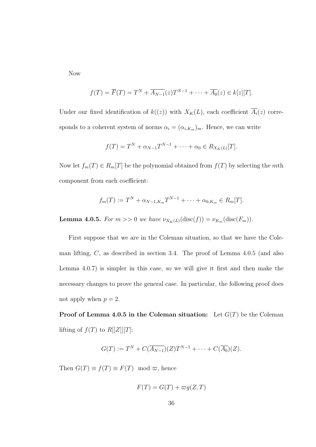Now

$$
f(T) = \overline{F}(T) = T^N + \overline{A_{N-1}}(z)T^{N-1} + \cdots + \overline{A_0}(z) \in k[z][T].
$$

Under our fixed identification of  $k((z))$  with  $X_K(L)$ , each coefficient  $\overline{A_i}(z)$  corresponds to a coherent system of norms  $\alpha_i = (\alpha_{i,K_m})_m$ . Hence, we can write

$$
f(T) = T^{N} + \alpha_{N-1} T^{N-1} + \dots + \alpha_0 \in R_{X_K(L)}[T].
$$

Now let  $f_m(T) \in R_m[T]$  be the polynomial obtained from  $f(T)$  by selecting the mth component from each coefficient:

$$
f_m(T) := T^N + \alpha_{N-1,K_m} T^{N-1} + \cdots + \alpha_{0,K_m} \in R_m[T].
$$

**Lemma 4.0.5.** For  $m >> 0$  we have  $\nu_{X_K(L)}(\text{disc}(f)) = \nu_{K_m}(\text{disc}(F_m)).$ 

First suppose that we are in the Coleman situation, so that we have the Coleman lifting, C, as described in section 3.4. The proof of Lemma 4.0.5 (and also Lemma 4.0.7) is simpler in this case, so we will give it first and then make the necessary changes to prove the general case. In particular, the following proof does not apply when  $p = 2$ .

**Proof of Lemma 4.0.5 in the Coleman situation:** Let  $G(T)$  be the Coleman lifting of  $f(T)$  to  $R[[Z]][T]$ :

$$
G(T) := T^{N} + C(\overline{A_{N-1}})(Z)T^{N-1} + \cdots + C(\overline{A_{0}})(Z).
$$

Then  $G(T) \equiv f(T) \equiv F(T) \mod \varpi$ , hence

$$
F(T) = G(T) + \varpi g(Z, T)
$$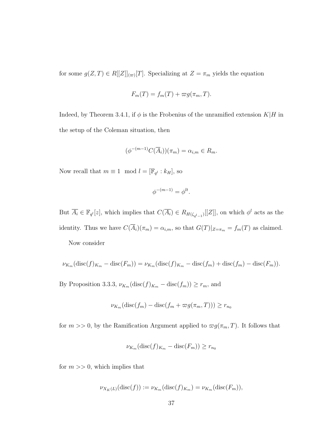for some  $g(Z,T) \in R[[Z]]_{(\infty)}[T]$ . Specializing at  $Z = \pi_m$  yields the equation

$$
F_m(T) = f_m(T) + \varpi g(\pi_m, T).
$$

Indeed, by Theorem 3.4.1, if  $\phi$  is the Frobenius of the unramified extension  $K|H$  in the setup of the Coleman situation, then

$$
(\phi^{-(m-1)}C(\overline{A}_i))(\pi_m) = \alpha_{i,m} \in R_m.
$$

Now recall that  $m \equiv 1 \mod l = [\mathbb{F}_{q^l} : k_H]$ , so

$$
\phi^{-(m-1)}=\phi^{lt}.
$$

But  $\overline{A_i} \in \mathbb{F}_{q^l}[z]$ , which implies that  $C(\overline{A_i}) \in R_{H(\zeta_{q^l-1})}[[Z]]$ , on which  $\phi^l$  acts as the identity. Thus we have  $C(\overline{A}_i)(\pi_m) = \alpha_{i,m}$ , so that  $G(T)|_{Z=\pi_m} = f_m(T)$  as claimed. Now consider

$$
\nu_{K_m}(\text{disc}(f)_{K_m} - \text{disc}(F_m)) = \nu_{K_m}(\text{disc}(f)_{K_m} - \text{disc}(f_m) + \text{disc}(f_m) - \text{disc}(F_m)).
$$

By Proposition 3.3.3,  $\nu_{K_m}(\text{disc}(f)_{K_m} - \text{disc}(f_m)) \ge r_m$ , and

$$
\nu_{K_m}(\text{disc}(f_m) - \text{disc}(f_m + \varpi g(\pi_m, T))) \ge r_{n_0}
$$

for  $m >> 0$ , by the Ramification Argument applied to  $\varpi g(\pi_m, T)$ . It follows that

$$
\nu_{K_m}(\text{disc}(f)_{K_m} - \text{disc}(F_m)) \ge r_{n_0}
$$

for  $m \gg 0$ , which implies that

$$
\nu_{X_K(L)}(\mathrm{disc}(f)) := \nu_{K_m}(\mathrm{disc}(f)_{K_m}) = \nu_{K_m}(\mathrm{disc}(F_m)),
$$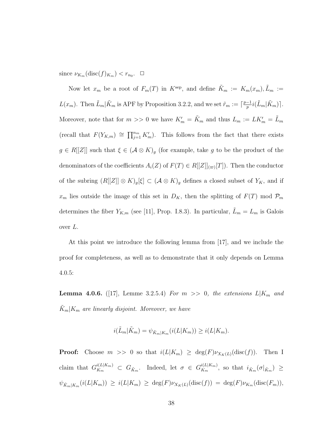since  $\nu_{K_m}(\text{disc}(f)_{K_m}) < r_{n_0}$ .  $\Box$ 

Now let  $x_m$  be a root of  $F_m(T)$  in  $K^{\text{sep}}$ , and define  $\tilde{K}_m := K_m(x_m), \tilde{L}_m :=$  $L(x_m)$ . Then  $\tilde{L}_m | \tilde{K}_m$  is APF by Proposition 3.2.2, and we set  $\tilde{r}_m := \lceil \frac{p-1}{n} \rceil$  $\frac{-1}{p}i(\tilde{L}_m|\tilde{K}_m)$ . Moreover, note that for  $m >> 0$  we have  $K'_m = \tilde{K}_m$  and thus  $L_m := LK'_m = \tilde{L}_m$ (recall that  $F(Y_{K,m}) \cong \prod_{j=1}^{n_m} K'_m$ ). This follows from the fact that there exists  $g \in R[[Z]]$  such that  $\xi \in (\mathcal{A} \otimes K)_{g}$  (for example, take g to be the product of the denominators of the coefficients  $A_i(Z)$  of  $F(T) \in R[[Z]]_{(\varpi)}[T]$ . Then the conductor of the subring  $(R[[Z]] \otimes K)_{g}[\xi] \subset (\mathcal{A} \otimes K)_{g}$  defines a closed subset of  $Y_K$ , and if  $x_m$  lies outside the image of this set in  $D_K$ , then the splitting of  $F(T)$  mod  $\mathcal{P}_m$ determines the fiber  $Y_{K,m}$  (see [11], Prop. I.8.3). In particular,  $L_m = L_m$  is Galois over L.

At this point we introduce the following lemma from [17], and we include the proof for completeness, as well as to demonstrate that it only depends on Lemma 4.0.5:

**Lemma 4.0.6.** ([17], Lemme 3.2.5.4) For  $m \gg 0$ , the extensions  $L|K_m$  and  $\tilde{K}_m|K_m$  are linearly disjoint. Moreover, we have

$$
i(\tilde{L}_m|\tilde{K}_m) = \psi_{\tilde{K}_m|K_m}(i(L|K_m)) \geq i(L|K_m).
$$

**Proof:** Choose  $m \gg 0$  so that  $i(L|K_m) \geq \deg(F)\nu_{X_K(L)}(\text{disc}(f))$ . Then I claim that  $G_{K_m}^{i(L|K_m)} \subset G_{\tilde{K}_m}$ . Indeed, let  $\sigma \in G_{K_m}^{i(L|K_m)}$  $\frac{i(L|\mathbf{A}_m)}{K_m}$ , so that  $i_{\tilde{K}_m}(\sigma|_{\tilde{K}_m}) \geq$  $\psi_{\tilde{K}_m|K_m}(i(L|K_m)) \geq i(L|K_m) \geq \deg(F)\nu_{X_K(L)}(\text{disc}(f)) = \deg(F)\nu_{K_m}(\text{disc}(F_m)),$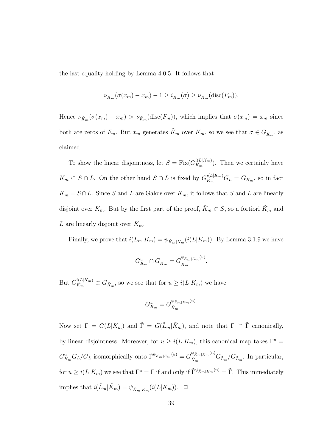the last equality holding by Lemma 4.0.5. It follows that

$$
\nu_{\tilde{K}_m}(\sigma(x_m) - x_m) - 1 \ge i_{\tilde{K}_m}(\sigma) \ge \nu_{\tilde{K}_m}(\text{disc}(F_m)).
$$

Hence  $\nu_{\tilde{K}_m}(\sigma(x_m) - x_m) > \nu_{\tilde{K}_m}(\text{disc}(F_m))$ , which implies that  $\sigma(x_m) = x_m$  since both are zeros of  $F_m$ . But  $x_m$  generates  $\tilde{K}_m$  over  $K_m$ , so we see that  $\sigma \in G_{\tilde{K}_m}$ , as claimed.

To show the linear disjointness, let  $S = \text{Fix}(G_{K_m}^{i(L|K_m)})$  $\binom{n(L|\mathbf{A}_{m})}{K_{m}}$ . Then we certainly have  $K_m \subset S \cap L$ . On the other hand  $S \cap L$  is fixed by  $G_{K_m}^{i(L|K_m)}G_L = G_{K_m}$ , so in fact  $K_m = S \cap L$ . Since S and L are Galois over  $K_m$ , it follows that S and L are linearly disjoint over  $K_m$ . But by the first part of the proof,  $\tilde{K}_m \subset S$ , so a fortiori  $\tilde{K}_m$  and L are linearly disjoint over  $K_m$ .

Finally, we prove that  $i(\tilde{L}_m|\tilde{K}_m) = \psi_{\tilde{K}_m|K_m}(i(L|K_m))$ . By Lemma 3.1.9 we have

$$
G_{K_m}^u \cap G_{\tilde{K}_m} = G_{\tilde{K}_m}^{\psi_{\tilde{K}_m|K_m}(u)}.
$$

But  $G_{K_m}^{i(L|K_m)} \subset G_{\tilde{K}_m}$ , so we see that for  $u \geq i(L|K_m)$  we have

$$
G_{K_m}^u = G_{\tilde{K}_m}^{\psi_{\tilde{K}_m|K_m}(u)}
$$

.

Now set  $\Gamma = G(L|K_m)$  and  $\tilde{\Gamma} = G(\tilde{L}_m|\tilde{K}_m)$ , and note that  $\Gamma \cong \tilde{\Gamma}$  canonically, by linear disjointness. Moreover, for  $u \ge i(L|K_m)$ , this canonical map takes  $\Gamma^u$  =  $G_{K_m}^u G_L/G_L$  isomorphically onto  $\tilde{\Gamma}^{\psi_{\tilde{K}_m|K_m}(u)} = G_{\tilde{K}_m}^{\psi_{\tilde{K}_m|K_m}(u)}$  $\frac{\tilde{K}_{m}K_{m}(\omega)}{\tilde{K}_{m}}G_{\tilde{L}_{m}}/G_{\tilde{L}_{m}}$ . In particular, for  $u \ge i(L|K_m)$  we see that  $\Gamma^u = \Gamma$  if and only if  $\tilde{\Gamma}^{\psi_{\tilde{K}_m|K_m}}^{(u)} = \tilde{\Gamma}$ . This immediately implies that  $i(\tilde{L}_m|\tilde{K}_m) = \psi_{\tilde{K}_m|K_m}(i(L|K_m))$ .  $\Box$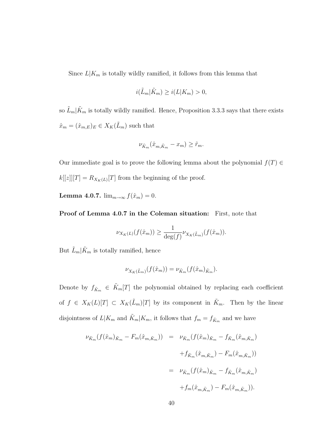Since  $L|K_m$  is totally wildly ramified, it follows from this lemma that

$$
i(\tilde{L}_m|\tilde{K}_m) \ge i(L|K_m) > 0,
$$

so  $\tilde{L}_m|\tilde{K}_m$  is totally wildly ramified. Hence, Proposition 3.3.3 says that there exists  $\hat{x}_m = (\hat{x}_{m,E})_E \in X_K(\tilde{L}_m)$  such that

$$
\nu_{\tilde{K}_m}(\hat{x}_{m,\tilde{K}_m} - x_m) \ge \tilde{r}_m.
$$

Our immediate goal is to prove the following lemma about the polynomial  $f(T) \in$  $k[[z]][T] = R_{X_K(L)}[T]$  from the beginning of the proof.

Lemma 4.0.7.  $\lim_{m\to\infty} f(\hat{x}_m) = 0$ .

Proof of Lemma 4.0.7 in the Coleman situation: First, note that

$$
\nu_{X_K(L)}(f(\hat{x}_m)) \ge \frac{1}{\deg(f)} \nu_{X_K(\tilde{L}_m)}(f(\hat{x}_m)).
$$

But  $\tilde{L}_m|\tilde{K}_m$  is totally ramified, hence

$$
\nu_{X_K(\tilde{L}_m)}(f(\hat{x}_m)) = \nu_{\tilde{K}_m}(f(\hat{x}_m)_{\tilde{K}_m}).
$$

Denote by  $f_{\tilde{K}_m} \in \tilde{K}_m[T]$  the polynomial obtained by replacing each coefficient of  $f \in X_K(L)[T] \subset X_K(\tilde{L}_m)[T]$  by its component in  $\tilde{K}_m$ . Then by the linear disjointness of  $L|K_m$  and  $\tilde{K}_m|K_m$ , it follows that  $f_m = f_{\tilde{K}_m}$  and we have

$$
\nu_{\tilde{K}_m}(f(\hat{x}_m)_{\tilde{K}_m} - F_m(\hat{x}_{m,\tilde{K}_m})) = \nu_{\tilde{K}_m}(f(\hat{x}_m)_{\tilde{K}_m} - f_{\tilde{K}_m}(\hat{x}_{m,\tilde{K}_m})
$$
  

$$
+ f_{\tilde{K}_m}(\hat{x}_{m,\tilde{K}_m}) - F_m(\hat{x}_{m,\tilde{K}_m}))
$$
  

$$
= \nu_{\tilde{K}_m}(f(\hat{x}_m)_{\tilde{K}_m} - f_{\tilde{K}_m}(\hat{x}_{m,\tilde{K}_m})
$$
  

$$
+ f_m(\hat{x}_{m,\tilde{K}_m}) - F_m(\hat{x}_{m,\tilde{K}_m})).
$$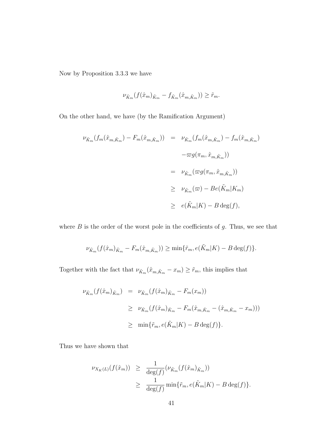Now by Proposition 3.3.3 we have

$$
\nu_{\tilde{K}_m}(f(\hat{x}_m)_{\tilde{K}_m} - f_{\tilde{K}_m}(\hat{x}_{m,\tilde{K}_m})) \ge \tilde{r}_m.
$$

On the other hand, we have (by the Ramification Argument)

$$
\nu_{\tilde{K}_m}(f_m(\hat{x}_{m,\tilde{K}_m}) - F_m(\hat{x}_{m,\tilde{K}_m})) = \nu_{\tilde{K}_m}(f_m(\hat{x}_{m,\tilde{K}_m}) - f_m(\hat{x}_{m,\tilde{K}_m})
$$
  

$$
-\varpi g(\pi_m, \hat{x}_{m,\tilde{K}_m}))
$$
  

$$
= \nu_{\tilde{K}_m}(\varpi g(\pi_m, \hat{x}_{m,\tilde{K}_m}))
$$
  

$$
\geq \nu_{\tilde{K}_m}(\varpi) - Be(\tilde{K}_m|K_m)
$$
  

$$
\geq e(\tilde{K}_m|K) - B \deg(f),
$$

where  $B$  is the order of the worst pole in the coefficients of  $g$ . Thus, we see that

$$
\nu_{\tilde{K}_m}(f(\hat{x}_m)_{\tilde{K}_m} - F_m(\hat{x}_{m,\tilde{K}_m})) \ge \min{\{\tilde{r}_m, e(\tilde{K}_m|K) - B \deg(f)\}}.
$$

Together with the fact that  $\nu_{\tilde{K}_m}(\hat{x}_{m,\tilde{K}_m} - x_m) \geq \tilde{r}_m$ , this implies that

$$
\nu_{\tilde{K}_m}(f(\hat{x}_m)_{\tilde{K}_m}) = \nu_{\tilde{K}_m}(f(\hat{x}_m)_{\tilde{K}_m} - F_m(x_m))
$$
  
\n
$$
\geq \nu_{\tilde{K}_m}(f(\hat{x}_m)_{\tilde{K}_m} - F_m(\hat{x}_{m,\tilde{K}_m} - (\hat{x}_{m,\tilde{K}_m} - x_m)))
$$
  
\n
$$
\geq \min{\{\tilde{r}_m, e(\tilde{K}_m|K) - B \deg(f)\}}.
$$

Thus we have shown that

$$
\nu_{X_K(L)}(f(\hat{x}_m)) \geq \frac{1}{\deg(f)}(\nu_{\tilde{K}_m}(f(\hat{x}_m)_{\tilde{K}_m}))
$$
  
 
$$
\geq \frac{1}{\deg(f)} \min{\lbrace \tilde{r}_m, e(\tilde{K}_m|K) - B \deg(f) \rbrace}.
$$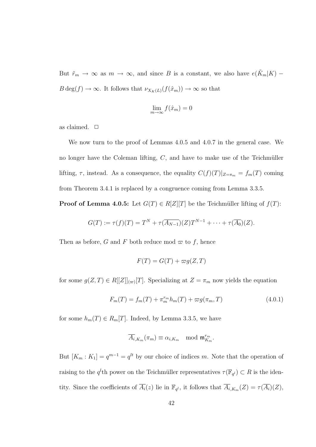But  $\tilde{r}_m \to \infty$  as  $m \to \infty$ , and since B is a constant, we also have  $e(\tilde{K}_m|K)$  –  $B \deg(f) \to \infty$ . It follows that  $\nu_{X_K(L)}(f(\hat{x}_m)) \to \infty$  so that

$$
\lim_{m \to \infty} f(\hat{x}_m) = 0
$$

as claimed.  $\Box$ 

We now turn to the proof of Lemmas 4.0.5 and 4.0.7 in the general case. We no longer have the Coleman lifting,  $C$ , and have to make use of the Teichmüller lifting,  $\tau$ , instead. As a consequence, the equality  $C(f)(T)|_{Z=\pi_m} = f_m(T)$  coming from Theorem 3.4.1 is replaced by a congruence coming from Lemma 3.3.5.

**Proof of Lemma 4.0.5:** Let  $G(T) \in R[Z][T]$  be the Teichmüller lifting of  $f(T)$ :

$$
G(T) := \tau(f)(T) = T^N + \tau(\overline{A_{N-1}})(Z)T^{N-1} + \cdots + \tau(\overline{A_0})(Z).
$$

Then as before, G and F both reduce mod  $\varpi$  to f, hence

$$
F(T) = G(T) + \varpi g(Z, T)
$$

for some  $g(Z,T) \in R[[Z]]_{(\varpi)}[T]$ . Specializing at  $Z = \pi_m$  now yields the equation

$$
F_m(T) = f_m(T) + \pi_m^{r_m} h_m(T) + \varpi g(\pi_m, T)
$$
\n(4.0.1)

for some  $h_m(T) \in R_m[T]$ . Indeed, by Lemma 3.3.5, we have

$$
\overline{A_{i}}_{,K_{m}}(\pi_{m}) \equiv \alpha_{i,K_{m}} \mod \mathfrak{m}_{K_{m}}^{r_{m}}.
$$

But  $[K_m : K_1] = q^{m-1} = q^{lt}$  by our choice of indices m. Note that the operation of raising to the  $q^l$ th power on the Teichmüller representatives  $\tau(\mathbb{F}_{q^l}) \subset R$  is the identity. Since the coefficients of  $\overline{A_i}(z)$  lie in  $\mathbb{F}_{q^l}$ , it follows that  $\overline{A_i}_{K_m}(Z) = \tau(\overline{A_i})(Z)$ ,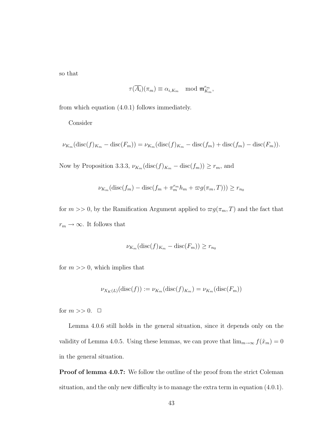so that

$$
\tau(\overline{A_i})(\pi_m) \equiv \alpha_{i,K_m} \mod \mathfrak{m}_{K_m}^{r_m},
$$

from which equation (4.0.1) follows immediately.

Consider

$$
\nu_{K_m}(\text{disc}(f)_{K_m}-\text{disc}(F_m))=\nu_{K_m}(\text{disc}(f)_{K_m}-\text{disc}(f_m)+\text{disc}(f_m)-\text{disc}(F_m)).
$$

Now by Proposition 3.3.3,  $\nu_{K_m}(\text{disc}(f)_{K_m} - \text{disc}(f_m)) \ge r_m$ , and

$$
\nu_{K_m}(\text{disc}(f_m) - \text{disc}(f_m + \pi_m^{r_m} h_m + \varpi g(\pi_m, T))) \ge r_{n_0}
$$

for  $m >> 0$ , by the Ramification Argument applied to  $\varpi g(\pi_m, T)$  and the fact that  $r_m \to \infty$ . It follows that

$$
\nu_{K_m}(\text{disc}(f)_{K_m} - \text{disc}(F_m)) \ge r_{n_0}
$$

for  $m \gg 0$ , which implies that

$$
\nu_{X_K(L)}(\mathrm{disc}(f)) := \nu_{K_m}(\mathrm{disc}(f)_{K_m}) = \nu_{K_m}(\mathrm{disc}(F_m))
$$

for  $m >> 0$ .  $\Box$ 

Lemma 4.0.6 still holds in the general situation, since it depends only on the validity of Lemma 4.0.5. Using these lemmas, we can prove that  $\lim_{m\to\infty} f(\hat{x}_m) = 0$ in the general situation.

**Proof of lemma 4.0.7:** We follow the outline of the proof from the strict Coleman situation, and the only new difficulty is to manage the extra term in equation (4.0.1).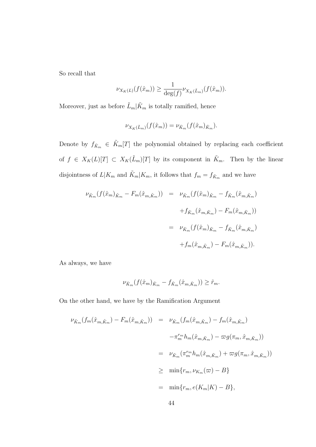So recall that

$$
\nu_{X_K(L)}(f(\hat{x}_m)) \ge \frac{1}{\deg(f)} \nu_{X_K(\tilde{L}_m)}(f(\hat{x}_m)).
$$

Moreover, just as before  $\tilde{L}_m|\tilde{K}_m$  is totally ramified, hence

$$
\nu_{X_K(\tilde{L}_m)}(f(\hat{x}_m)) = \nu_{\tilde{K}_m}(f(\hat{x}_m)_{\tilde{K}_m}).
$$

Denote by  $f_{\tilde{K}_m} \in \tilde{K}_m[T]$  the polynomial obtained by replacing each coefficient of  $f \in X_K(L)[T] \subset X_K(\tilde{L}_m)[T]$  by its component in  $\tilde{K}_m$ . Then by the linear disjointness of  $L|K_m$  and  $\tilde{K}_m|K_m$ , it follows that  $f_m = f_{\tilde{K}_m}$  and we have

$$
\begin{aligned}\n\nu_{\tilde{K}_m}(f(\hat{x}_m)_{\tilde{K}_m} - F_m(\hat{x}_{m,\tilde{K}_m})) &= \nu_{\tilde{K}_m}(f(\hat{x}_m)_{\tilde{K}_m} - f_{\tilde{K}_m}(\hat{x}_{m,\tilde{K}_m}) \\
&+ f_{\tilde{K}_m}(\hat{x}_{m,\tilde{K}_m}) - F_m(\hat{x}_{m,\tilde{K}_m})) \\
&= \nu_{\tilde{K}_m}(f(\hat{x}_m)_{\tilde{K}_m} - f_{\tilde{K}_m}(\hat{x}_{m,\tilde{K}_m}) \\
&+ f_m(\hat{x}_{m,\tilde{K}_m}) - F_m(\hat{x}_{m,\tilde{K}_m})).\n\end{aligned}
$$

As always, we have

$$
\nu_{\tilde{K}_m}(f(\hat{x}_m)_{\tilde{K}_m} - f_{\tilde{K}_m}(\hat{x}_{m,\tilde{K}_m})) \geq \tilde{r}_m.
$$

On the other hand, we have by the Ramification Argument

$$
\nu_{\tilde{K}_{m}}(f_{m}(\hat{x}_{m,\tilde{K}_{m}}) - F_{m}(\hat{x}_{m,\tilde{K}_{m}})) = \nu_{\tilde{K}_{m}}(f_{m}(\hat{x}_{m,\tilde{K}_{m}}) - f_{m}(\hat{x}_{m,\tilde{K}_{m}})
$$
  

$$
- \pi_{m}^{r_{m}} h_{m}(\hat{x}_{m,\tilde{K}_{m}}) - \varpi g(\pi_{m}, \hat{x}_{m,\tilde{K}_{m}}))
$$
  

$$
= \nu_{\tilde{K}_{m}}(\pi_{m}^{r_{m}} h_{m}(\hat{x}_{m,\tilde{K}_{m}}) + \varpi g(\pi_{m}, \hat{x}_{m,\tilde{K}_{m}}))
$$
  

$$
\geq \min\{r_{m}, \nu_{K_{m}}(\varpi) - B\}
$$
  

$$
= \min\{r_{m}, e(K_{m}|K) - B\},
$$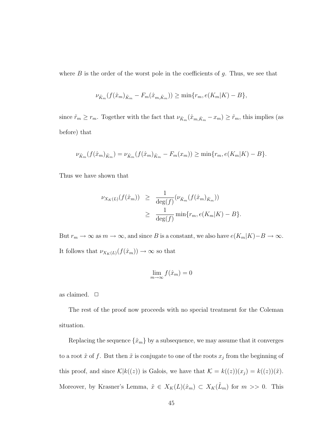where  $B$  is the order of the worst pole in the coefficients of  $q$ . Thus, we see that

$$
\nu_{\tilde{K}_m}(f(\hat{x}_m)_{\tilde{K}_m} - F_m(\hat{x}_{m,\tilde{K}_m})) \ge \min\{r_m, e(K_m|K) - B\},\
$$

since  $\tilde{r}_m \ge r_m$ . Together with the fact that  $\nu_{\tilde{K}_m}(\hat{x}_{m,\tilde{K}_m} - x_m) \ge \tilde{r}_m$ , this implies (as before) that

$$
\nu_{\tilde{K}_m}(f(\hat{x}_m)_{\tilde{K}_m}) = \nu_{\tilde{K}_m}(f(\hat{x}_m)_{\tilde{K}_m} - F_m(x_m)) \ge \min\{r_m, e(K_m|K) - B\}.
$$

Thus we have shown that

$$
\nu_{X_K(L)}(f(\hat{x}_m)) \geq \frac{1}{\deg(f)}(\nu_{\tilde{K}_m}(f(\hat{x}_m)_{\tilde{K}_m}))
$$
  

$$
\geq \frac{1}{\deg(f)} \min\{r_m, e(K_m|K) - B\}.
$$

But  $r_m \to \infty$  as  $m \to \infty$ , and since B is a constant, we also have  $e(K_m|K)-B \to \infty$ . It follows that  $\nu_{X_K(L)}(f(\hat{x}_m)) \to \infty$  so that

$$
\lim_{m \to \infty} f(\hat{x}_m) = 0
$$

as claimed.  $\Box$ 

The rest of the proof now proceeds with no special treatment for the Coleman situation.

Replacing the sequence  $\{\hat{x}_m\}$  by a subsequence, we may assume that it converges to a root  $\tilde{x}$  of f. But then  $\tilde{x}$  is conjugate to one of the roots  $x_j$  from the beginning of this proof, and since  $\mathcal{K}|k((z))$  is Galois, we have that  $\mathcal{K} = k((z))(x_j) = k((z))(\tilde{x})$ . Moreover, by Krasner's Lemma,  $\tilde{x} \in X_K(L)(\hat{x}_m) \subset X_K(\tilde{L}_m)$  for  $m >> 0$ . This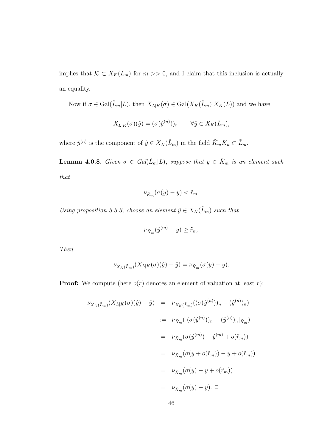implies that  $K \subset X_K(\tilde{L}_m)$  for  $m >> 0$ , and I claim that this inclusion is actually an equality.

Now if  $\sigma \in \text{Gal}(\tilde{L}_m|L)$ , then  $X_{L|K}(\sigma) \in \text{Gal}(X_K(\tilde{L}_m)|X_K(L))$  and we have

$$
X_{L|K}(\sigma)(\hat{y}) = (\sigma(\hat{y}^{(n)}))_n \qquad \forall \hat{y} \in X_K(\tilde{L}_m),
$$

where  $\hat{y}^{(n)}$  is the component of  $\hat{y} \in X_K(\tilde{L}_m)$  in the field  $\tilde{K}_m K_n \subset \tilde{L}_m$ .

**Lemma 4.0.8.** Given  $\sigma \in Gal(\tilde{L}_m|L)$ , suppose that  $y \in \tilde{K}_m$  is an element such that

$$
\nu_{\tilde{K}_m}(\sigma(y)-y)<\tilde{r}_m.
$$

Using proposition 3.3.3, choose an element  $\hat{y} \in X_K(\tilde{L}_m)$  such that

$$
\nu_{\tilde{K}_m}(\hat{y}^{(m)} - y) \ge \tilde{r}_m.
$$

Then

$$
\nu_{X_K(\tilde{L}_m)}(X_{L|K}(\sigma)(\hat{y}) - \hat{y}) = \nu_{\tilde{K}_m}(\sigma(y) - y).
$$

**Proof:** We compute (here  $o(r)$  denotes an element of valuation at least r):

$$
\nu_{X_K(\tilde{L}_m)}(X_{L|K}(\sigma)(\hat{y}) - \hat{y}) = \nu_{X_K(\tilde{L}_m)}((\sigma(\hat{y}^{(n)}))_n - (\hat{y}^{(n)})_n)
$$
  

$$
:= \nu_{\tilde{K}_m}([(\sigma(\hat{y}^{(n)}))_n - (\hat{y}^{(n)})_n]_{\tilde{K}_m})
$$
  

$$
= \nu_{\tilde{K}_m}(\sigma(\hat{y}^{(m)}) - \hat{y}^{(m)} + o(\tilde{r}_m))
$$
  

$$
= \nu_{\tilde{K}_m}(\sigma(y + o(\tilde{r}_m)) - y + o(\tilde{r}_m))
$$
  

$$
= \nu_{\tilde{K}_m}(\sigma(y) - y + o(\tilde{r}_m))
$$
  

$$
= \nu_{\tilde{K}_m}(\sigma(y) - y). \square
$$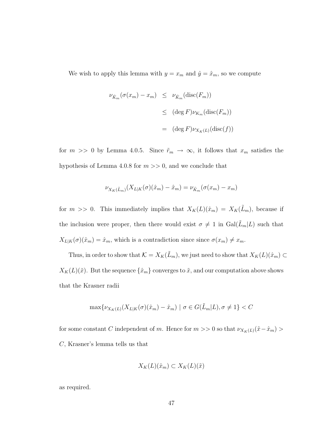We wish to apply this lemma with  $y = x_m$  and  $\hat{y} = \hat{x}_m$ , so we compute

$$
\nu_{\tilde{K}_m}(\sigma(x_m) - x_m) \leq \nu_{\tilde{K}_m}(\text{disc}(F_m))
$$
  

$$
\leq (\deg F)\nu_{K_m}(\text{disc}(F_m))
$$
  

$$
= (\deg F)\nu_{X_K(L)}(\text{disc}(f))
$$

for  $m \gg 0$  by Lemma 4.0.5. Since  $\tilde{r}_m \to \infty$ , it follows that  $x_m$  satisfies the hypothesis of Lemma 4.0.8 for  $m \gg 0$ , and we conclude that

$$
\nu_{X_K(\tilde{L}_m)}(X_{L|K}(\sigma)(\hat{x}_m) - \hat{x}_m) = \nu_{\tilde{K}_m}(\sigma(x_m) - x_m)
$$

for  $m \gg 0$ . This immediately implies that  $X_K(L)(\hat{x}_m) = X_K(\tilde{L}_m)$ , because if the inclusion were proper, then there would exist  $\sigma \neq 1$  in  $Gal(\tilde{L}_m|L)$  such that  $X_{L|K}(\sigma)(\hat{x}_m) = \hat{x}_m$ , which is a contradiction since since  $\sigma(x_m) \neq x_m$ .

Thus, in order to show that  $\mathcal{K} = X_K(\tilde{L}_m)$ , we just need to show that  $X_K(L)(\hat{x}_m) \subset$  $X_K(L)(\tilde{x})$ . But the sequence  $\{\hat{x}_m\}$  converges to  $\tilde{x}$ , and our computation above shows that the Krasner radii

$$
\max\{\nu_{X_K(L)}(X_{L|K}(\sigma)(\hat{x}_m) - \hat{x}_m) \mid \sigma \in G(\tilde{L}_m|L), \sigma \neq 1\} < C
$$

for some constant  $C$  independent of  $m$  . Hence for  $m>>0$  so that  $\nu_{X_K(L)}(\tilde x-\hat x_m)>0$ C, Krasner's lemma tells us that

$$
X_K(L)(\hat{x}_m) \subset X_K(L)(\tilde{x})
$$

as required.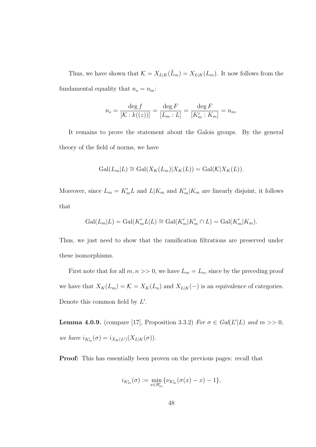Thus, we have shown that  $\mathcal{K} = X_{L|K}(\tilde{L}_m) = X_{L|K}(L_m)$ . It now follows from the fundamental equality that  $n_s = n_m$ :

$$
n_s = \frac{\deg f}{[\mathcal{K} : k((z))] } = \frac{\deg F}{[L_m : L]} = \frac{\deg F}{[K'_m : K_m]} = n_m.
$$

It remains to prove the statement about the Galois groups. By the general theory of the field of norms, we have

$$
Gal(L_m|L) \cong Gal(X_K(L_m)|X_K(L)) = Gal(\mathcal{K}|X_K(L)).
$$

Moreover, since  $L_m = K'_m L$  and  $L|K_m$  and  $K'_m|K_m$  are linearly disjoint, it follows that

$$
\mathrm{Gal}(L_m|L) = \mathrm{Gal}(K'_m L | L) \cong \mathrm{Gal}(K'_m | K'_m \cap L) = \mathrm{Gal}(K'_m | K_m).
$$

Thus, we just need to show that the ramification filtrations are preserved under these isomorphisms.

First note that for all  $m, n >> 0$ , we have  $L_m = L_n$ , since by the preceding proof we have that  $X_K(L_m) = \mathcal{K} = X_K(L_n)$  and  $X_{L|K}(-)$  is an equivalence of categories. Denote this common field by  $L'$ .

**Lemma 4.0.9.** (compare [17], Proposition 3.3.2) For  $\sigma \in Gal(L'|L)$  and  $m >> 0$ , we have  $i_{K'_m}(\sigma) = i_{X_K(L')}(X_{L|K}(\sigma)).$ 

Proof: This has essentially been proven on the previous pages: recall that

$$
i_{K'_m}(\sigma):=\min_{x\in R'_m}\{\nu_{K'_m}(\sigma(x)-x)-1\},
$$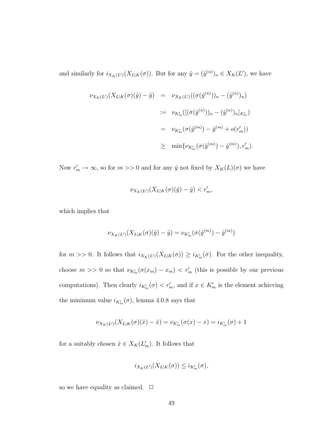and similarly for  $i_{X_K(L')}(X_{L|K}(\sigma))$ . But for any  $\hat{y} = (\hat{y}^{(n)})_n \in X_K(L')$ , we have

$$
\begin{array}{rcl}\n\nu_{X_K(L')}(X_{L|K}(\sigma)(\hat{y}) - \hat{y}) & = & \nu_{X_K(L')}((\sigma(\hat{y}^{(n)}))_n - (\hat{y}^{(n)})_n) \\
& := & \nu_{K'_m}([(\sigma(\hat{y}^{(n)}))_n - (\hat{y}^{(n)})_n]_{K'_m}) \\
& = & \nu_{K'_m}(\sigma(\hat{y}^{(m)}) - \hat{y}^{(m)} + o(r'_m)) \\
& \geq & \min\{\nu_{K'_m}(\sigma(\hat{y}^{(m)}) - \hat{y}^{(m)})_n, r'_m).\n\end{array}
$$

Now  $r'_m \to \infty$ , so for  $m >> 0$  and for any  $\hat{y}$  not fixed by  $X_K(L)(\sigma)$  we have

$$
\nu_{X_K(L')}(X_{L|K}(\sigma)(\hat{y}) - \hat{y}) < r'_m,
$$

which implies that

$$
\nu_{X_K(L')}(X_{L|K}(\sigma)(\hat{y}) - \hat{y}) = \nu_{K'_m}(\sigma(\hat{y}^{(m)}) - \hat{y}^{(m)})
$$

for  $m >> 0$ . It follows that  $i_{X_K(L')}(X_{L|K}(\sigma)) \geq i_{K'_m}(\sigma)$ . For the other inequality, choose  $m >> 0$  so that  $\nu_{K'_m}(\sigma(x_m) - x_m) < r'_m$  (this is possible by our previous computations). Then clearly  $i_{K'_m}(\sigma) < r'_m$ , and if  $x \in K'_m$  is the element achieving the minimum value  $i_{K'_m}(\sigma)$ , lemma 4.0.8 says that

$$
\nu_{X_K(L')}(X_{L|K}(\sigma)(\hat{x}) - \hat{x}) = \nu_{K'_m}(\sigma(x) - x) = i_{K'_m}(\sigma) + 1
$$

for a suitably chosen  $\hat{x} \in X_K(L'_m)$ . It follows that

$$
i_{X_K(L')}(X_{L|K}(\sigma)) \leq i_{K'_m}(\sigma),
$$

so we have equality as claimed.  $\Box$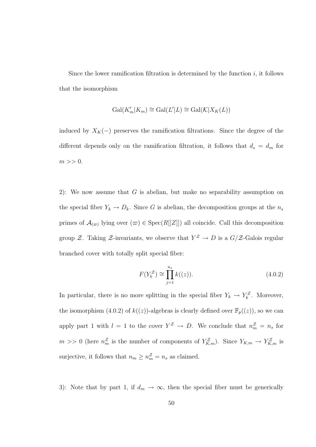Since the lower ramification filtration is determined by the function  $i$ , it follows that the isomorphism

$$
\mathrm{Gal}(K'_m|K_m)\cong \mathrm{Gal}(L'|L)\cong \mathrm{Gal}(\mathcal{K}|X_K(L))
$$

induced by  $X_K(-)$  preserves the ramification filtrations. Since the degree of the different depends only on the ramification filtration, it follows that  $d_s = d_m$  for  $m >> 0$ .

2): We now assume that  $G$  is abelian, but make no separability assumption on the special fiber  $Y_k \to D_k$ . Since G is abelian, the decomposition groups at the  $n_s$ primes of  $\mathcal{A}_{(\varpi)}$  lying over  $(\varpi) \in \text{Spec}(R[[Z]])$  all coincide. Call this decomposition group Z. Taking Z-invariants, we observe that  $Y^{\mathcal{Z}} \to D$  is a  $G/\mathcal{Z}$ -Galois regular branched cover with totally split special fiber:

$$
F(Y_k^{\mathcal{Z}}) \cong \prod_{j=1}^{n_s} k((z)).
$$
\n(4.0.2)

In particular, there is no more splitting in the special fiber  $Y_k \to Y_k^{\mathcal{Z}}$ . Moreover, the isomorphism (4.0.2) of  $k((z))$ -algebras is clearly defined over  $\mathbb{F}_p((z))$ , so we can apply part 1 with  $l = 1$  to the cover  $Y^{\mathcal{Z}} \to D$ . We conclude that  $n_m^{\mathcal{Z}} = n_s$  for  $m >> 0$  (here  $n_m^{\mathcal{Z}}$  is the number of components of  $Y_{K,m}^{\mathcal{Z}}$ ). Since  $Y_{K,m} \to Y_{K,m}^{\mathcal{Z}}$  is surjective, it follows that  $n_m \geq n_m^{\mathcal{Z}} = n_s$  as claimed.

3): Note that by part 1, if  $d_m \to \infty$ , then the special fiber must be generically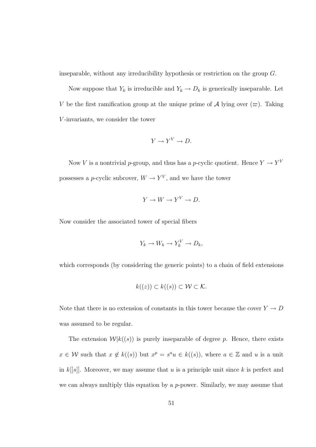inseparable, without any irreducibility hypothesis or restriction on the group G.

Now suppose that  $Y_k$  is irreducible and  $Y_k \to D_k$  is generically inseparable. Let V be the first ramification group at the unique prime of A lying over  $(\varpi)$ . Taking V -invariants, we consider the tower

$$
Y \to Y^V \to D.
$$

Now V is a nontrivial p-group, and thus has a p-cyclic quotient. Hence  $Y \to Y^V$ possesses a *p*-cyclic subcover,  $W \to Y^V$ , and we have the tower

$$
Y \to W \to Y^V \to D.
$$

Now consider the associated tower of special fibers

$$
Y_k \to W_k \to Y_k^V \to D_k,
$$

which corresponds (by considering the generic points) to a chain of field extensions

$$
k((z)) \subset k((s)) \subset \mathcal{W} \subset \mathcal{K}.
$$

Note that there is no extension of constants in this tower because the cover  $Y \to D$ was assumed to be regular.

The extension  $\mathcal{W}|k((s))$  is purely inseparable of degree p. Hence, there exists  $x \in \mathcal{W}$  such that  $x \notin k((s))$  but  $x^p = s^a u \in k((s))$ , where  $a \in \mathbb{Z}$  and u is a unit in  $k[[s]]$ . Moreover, we may assume that u is a principle unit since k is perfect and we can always multiply this equation by a p-power. Similarly, we may assume that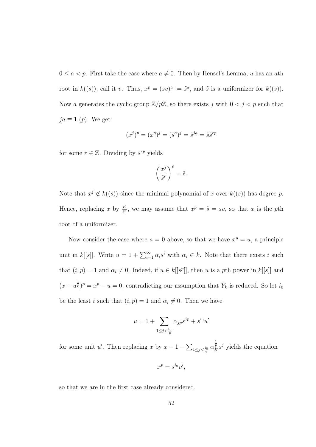$0 \le a < p$ . First take the case where  $a \ne 0$ . Then by Hensel's Lemma, u has an ath root in  $k((s))$ , call it v. Thus,  $x^p = (sv)^a := \tilde{s}^a$ , and  $\tilde{s}$  is a uniformizer for  $k((s))$ . Now a generates the cyclic group  $\mathbb{Z}/p\mathbb{Z}$ , so there exists j with  $0 < j < p$  such that  $ja \equiv 1 (p)$ . We get:

$$
(x^j)^p = (x^p)^j = (\tilde{s}^a)^j = \tilde{s}^{ja} = \tilde{s}\tilde{s}^{rp}
$$

for some  $r \in \mathbb{Z}$ . Dividing by  $\tilde{s}^{rp}$  yields

$$
\left(\frac{x^j}{\tilde{s}^r}\right)^p = \tilde{s}.
$$

Note that  $x^j \notin k((s))$  since the minimal polynomial of x over  $k((s))$  has degree p. Hence, replacing x by  $\frac{x^j}{\tilde{s}^r}$  $\frac{x^j}{\tilde{s}^r}$ , we may assume that  $x^p = \tilde{s} = sv$ , so that x is the pth root of a uniformizer.

Now consider the case where  $a = 0$  above, so that we have  $x^p = u$ , a principle unit in k[[s]]. Write  $u = 1 + \sum_{i=1}^{\infty} \alpha_i s^i$  with  $\alpha_i \in k$ . Note that there exists i such that  $(i, p) = 1$  and  $\alpha_i \neq 0$ . Indeed, if  $u \in k[[s^p]]$ , then u is a pth power in  $k[[s]]$  and  $(x - u^{\frac{1}{p}})^p = x^p - u = 0$ , contradicting our assumption that  $Y_k$  is reduced. So let  $i_0$ be the least i such that  $(i, p) = 1$  and  $\alpha_i \neq 0$ . Then we have

$$
u = 1 + \sum_{1 \le j < \frac{i_0}{p}} \alpha_{jp} s^{jp} + s^{i_0} u'
$$

for some unit u'. Then replacing x by  $x-1-\sum_{1\leq j < \frac{i_0}{p}} \alpha_{jp}^{\frac{1}{p}} s^j$  yields the equation

$$
x^p = s^{i_0} u',
$$

so that we are in the first case already considered.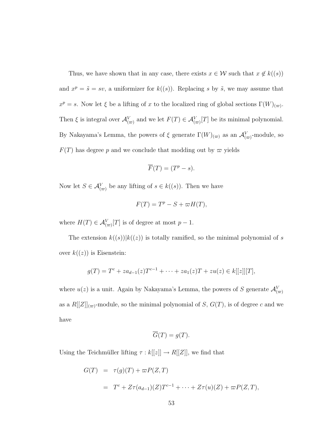Thus, we have shown that in any case, there exists  $x \in \mathcal{W}$  such that  $x \notin k((s))$ and  $x^p = \tilde{s} = sv$ , a uniformizer for  $k((s))$ . Replacing s by  $\tilde{s}$ , we may assume that  $x^p = s$ . Now let  $\xi$  be a lifting of x to the localized ring of global sections  $\Gamma(W)_{(\varpi)}$ . Then  $\xi$  is integral over  $\mathcal{A}_{(\infty)}^V$  and we let  $F(T) \in \mathcal{A}_{(\infty)}^V[T]$  be its minimal polynomial. By Nakayama's Lemma, the powers of  $\xi$  generate  $\Gamma(W)_{(\varpi)}$  as an  $\mathcal{A}_{(\varpi)}^V$ -module, so  $F(T)$  has degree p and we conclude that modding out by  $\varpi$  yields

$$
\overline{F}(T) = (T^p - s).
$$

Now let  $S \in \mathcal{A}_{(\varpi)}^V$  be any lifting of  $s \in k((s))$ . Then we have

$$
F(T) = T^p - S + \varpi H(T),
$$

where  $H(T) \in \mathcal{A}_{(\varpi)}^V[T]$  is of degree at most  $p-1$ .

The extension  $k((s))|k((z))$  is totally ramified, so the minimal polynomial of s over  $k((z))$  is Eisenstein:

$$
g(T) = T^{c} + za_{d-1}(z)T^{c-1} + \cdots + za_{1}(z)T + zu(z) \in k[[z]][T],
$$

where  $u(z)$  is a unit. Again by Nakayama's Lemma, the powers of S generate  $\mathcal{A}_{(\varpi)}^V$ as a  $R[[Z]]_{(\infty)}$ -module, so the minimal polynomial of S,  $G(T)$ , is of degree c and we have

$$
\overline{G}(T) = g(T).
$$

Using the Teichmüller lifting  $\tau : k[[z]] \to R[[Z]],$  we find that

$$
G(T) = \tau(g)(T) + \varpi P(Z, T)
$$
  
= 
$$
T^{c} + Z\tau(a_{d-1})(Z)T^{c-1} + \dots + Z\tau(u)(Z) + \varpi P(Z, T),
$$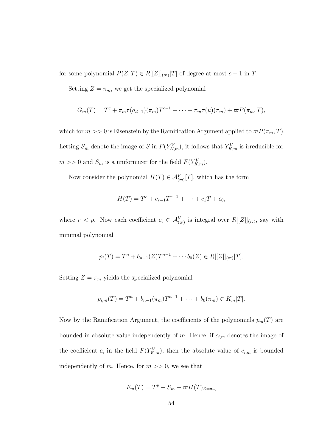for some polynomial  $P(Z,T) \in R[[Z]]_{(\varpi)}[T]$  of degree at most  $c-1$  in T.

Setting  $Z = \pi_m$ , we get the specialized polynomial

$$
G_m(T) = T^c + \pi_m \tau(a_{d-1})(\pi_m)T^{c-1} + \cdots + \pi_m \tau(u)(\pi_m) + \varpi P(\pi_m, T),
$$

which for  $m >> 0$  is Eisenstein by the Ramification Argument applied to  $\varpi P(\pi_m, T)$ . Letting  $S_m$  denote the image of S in  $F(Y^V_{K,m})$ , it follows that  $Y^V_{K,m}$  is irreducible for  $m >> 0$  and  $S_m$  is a uniformizer for the field  $F(Y^V_{K,m})$ .

Now consider the polynomial  $H(T) \in \mathcal{A}_{(\varpi)}^V[T]$ , which has the form

$$
H(T) = T^r + c_{r-1}T^{r-1} + \cdots + c_1T + c_0,
$$

where  $r < p$ . Now each coefficient  $c_i \in \mathcal{A}_{(\varpi)}^V$  is integral over  $R[[Z]]_{(\varpi)}$ , say with minimal polynomial

$$
p_i(T) = T^n + b_{n-1}(Z)T^{n-1} + \cdots + b_0(Z) \in R[[Z]]_{(\infty)}[T].
$$

Setting  $Z = \pi_m$  yields the specialized polynomial

$$
p_{i,m}(T) = T^{n} + b_{n-1}(\pi_m)T^{n-1} + \cdots + b_0(\pi_m) \in K_m[T].
$$

Now by the Ramification Argument, the coefficients of the polynomials  $p_m(T)$  are bounded in absolute value independently of m. Hence, if  $c_{i,m}$  denotes the image of the coefficient  $c_i$  in the field  $F(Y^V_{K,m})$ , then the absolute value of  $c_{i,m}$  is bounded independently of m. Hence, for  $m \gg 0$ , we see that

$$
F_m(T) = T^p - S_m + \varpi H(T)_{Z = \pi_m}
$$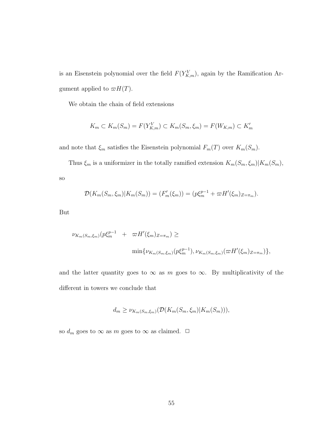is an Eisenstein polynomial over the field  $F(Y^V_{K,m})$ , again by the Ramification Argument applied to  $\varpi H(T)$ .

We obtain the chain of field extensions

$$
K_m \subset K_m(S_m) = F(Y_{K,m}^V) \subset K_m(S_m, \xi_m) = F(W_{K,m}) \subset K'_m
$$

and note that  $\xi_m$  satisfies the Eisenstein polynomial  $F_m(T)$  over  $K_m(S_m)$ .

Thus  $\xi_m$  is a uniformizer in the totally ramified extension  $K_m(S_m, \xi_m)|K_m(S_m)$ , so

$$
\mathcal{D}(K_m(S_m, \xi_m)|K_m(S_m)) = (F'_m(\xi_m)) = (p\xi_m^{p-1} + \varpi H'(\xi_m)_{Z=\pi_m}).
$$

But

$$
\nu_{K_m(S_m,\xi_m)}(p\xi_m^{p-1} + \varpi H'(\xi_m)_{Z=\pi_m}) \ge
$$
  

$$
\min{\nu_{K_m(S_m,\xi_m)}(p\xi_m^{p-1}), \nu_{K_m(S_m,\xi_m)}(\varpi H'(\xi_m)_{Z=\pi_m})},
$$

and the latter quantity goes to  $\infty$  as m goes to  $\infty$ . By multiplicativity of the different in towers we conclude that

$$
d_m \geq \nu_{K_m(S_m,\xi_m)}(\mathcal{D}(K_m(S_m,\xi_m)|K_m(S_m))),
$$

so  $d_m$  goes to  $\infty$  as  $m$  goes to  $\infty$  as claimed.  $\ \Box$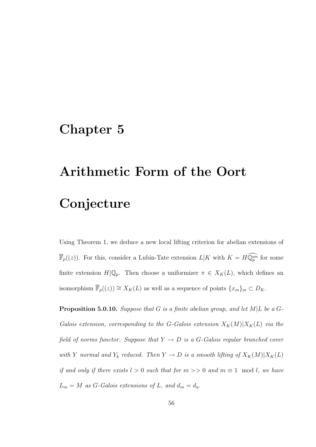## Chapter 5

## Arithmetic Form of the Oort Conjecture

Using Theorem 1, we deduce a new local lifting criterion for abelian extensions of  $\overline{\mathbb{F}}_p((z))$ . For this, consider a Lubin-Tate extension  $L|K$  with  $K = H\widehat{\mathbb{Q}_p^{un}}$  for some finite extension  $H|\mathbb{Q}_p$ . Then choose a uniformizer  $\pi \in X_K(L)$ , which defines an isomorphism  $\overline{\mathbb{F}}_p((z)) \cong X_K(L)$  as well as a sequence of points  $\{x_m\}_m \subset D_K$ .

**Proposition 5.0.10.** Suppose that G is a finite abelian group, and let  $M|L$  be a G-Galois extension, corresponding to the G-Galois extension  $X_K(M)|X_K(L)$  via the field of norms functor. Suppose that  $Y \to D$  is a G-Galois regular branched cover with Y normal and  $Y_k$  reduced. Then  $Y \to D$  is a smooth lifting of  $X_K(M)|X_K(L)$ if and only if there exists  $l > 0$  such that for  $m >> 0$  and  $m \equiv 1 \mod l$ , we have  $L_m = M$  as G-Galois extensions of L, and  $d_m = d_\eta$ .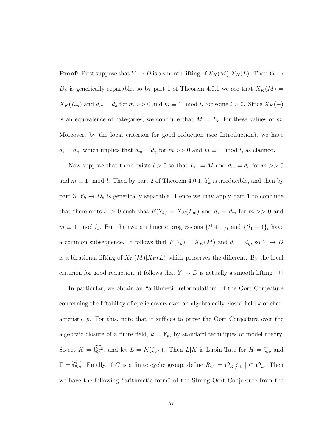**Proof:** First suppose that  $Y \to D$  is a smooth lifting of  $X_K(M)|X_K(L)$ . Then  $Y_k \to$  $D_k$  is generically separable, so by part 1 of Theorem 4.0.1 we see that  $X_K(M) =$  $X_K(L_m)$  and  $d_m = d_s$  for  $m >> 0$  and  $m \equiv 1 \mod l$ , for some  $l > 0$ . Since  $X_K(-)$ is an equivalence of categories, we conclude that  $M = L_m$  for these values of m. Moreover, by the local criterion for good reduction (see Introduction), we have  $d_s = d_\eta$ , which implies that  $d_m = d_\eta$  for  $m >> 0$  and  $m \equiv 1 \mod l$ , as claimed.

Now suppose that there exists  $l > 0$  so that  $L_m = M$  and  $d_m = d_\eta$  for  $m >> 0$ and  $m \equiv 1 \mod l$ . Then by part 2 of Theorem 4.0.1,  $Y_k$  is irreducible, and then by part 3,  $Y_k \to D_k$  is generically separable. Hence we may apply part 1 to conclude that there exits  $l_1 > 0$  such that  $F(Y_k) = X_K(L_m)$  and  $d_s = d_m$  for  $m >> 0$  and  $m \equiv 1 \mod l_1$ . But the two arithmetic progressions  $\{t^2 + 1\}_t$  and  $\{t^2 + 1\}_t$  have a common subsequence. It follows that  $F(Y_k) = X_K(M)$  and  $d_s = d_\eta$ , so  $Y \to D$ is a birational lifting of  $X_K(M)|X_K(L)$  which preserves the different. By the local criterion for good reduction, it follows that  $Y \to D$  is actually a smooth lifting.  $\Box$ 

In particular, we obtain an "arithmetic reformulation" of the Oort Conjecture concerning the liftability of cyclic covers over an algebraically closed field k of characteristic  $p$ . For this, note that it suffices to prove the Oort Conjecture over the algebraic closure of a finite field,  $k = \overline{\mathbb{F}}_p$ , by standard techniques of model theory. So set  $K = \widehat{\mathbb{Q}_p^{un}}$ , and let  $L = K(\zeta_{p^{\infty}})$ . Then  $L|K$  is Lubin-Tate for  $H = \mathbb{Q}_p$  and  $\Gamma = \widehat{\mathbb{G}_m}$ . Finally, if C is a finite cyclic group, define  $R_C := \mathcal{O}_K[\zeta_{|C|}] \subset \mathcal{O}_L$ . Then we have the following "arithmetic form" of the Strong Oort Conjecture from the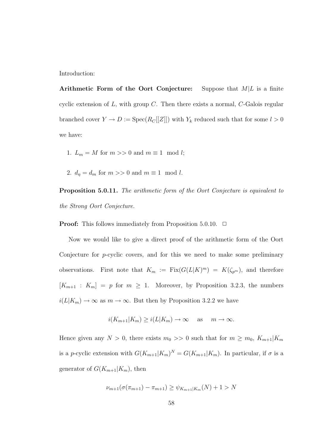Introduction:

Arithmetic Form of the Oort Conjecture: Suppose that  $M/L$  is a finite cyclic extension of  $L$ , with group  $C$ . Then there exists a normal,  $C$ -Galois regular branched cover  $Y \to D := \text{Spec}(R_C[[Z]])$  with  $Y_k$  reduced such that for some  $l > 0$ we have:

- 1.  $L_m = M$  for  $m >> 0$  and  $m \equiv 1 \mod l$ ;
- 2.  $d_{\eta} = d_m$  for  $m >> 0$  and  $m \equiv 1 \mod l$ .

Proposition 5.0.11. The arithmetic form of the Oort Conjecture is equivalent to the Strong Oort Conjecture.

**Proof:** This follows immediately from Proposition 5.0.10.  $\Box$ 

Now we would like to give a direct proof of the arithmetic form of the Oort Conjecture for  $p$ -cyclic covers, and for this we need to make some preliminary observations. First note that  $K_m := Fix(G(L|K)^m) = K(\zeta_{p^m})$ , and therefore  $[K_{m+1} : K_m] = p$  for  $m \geq 1$ . Moreover, by Proposition 3.2.3, the numbers  $i(L|K_m) \to \infty$  as  $m \to \infty$ . But then by Proposition 3.2.2 we have

$$
i(K_{m+1}|K_m) \ge i(L|K_m) \to \infty
$$
 as  $m \to \infty$ .

Hence given any  $N > 0$ , there exists  $m_0 >> 0$  such that for  $m \ge m_0$ ,  $K_{m+1}|K_m$ is a p-cyclic extension with  $G(K_{m+1}|K_m)^N = G(K_{m+1}|K_m)$ . In particular, if  $\sigma$  is a generator of  $G(K_{m+1}|K_m)$ , then

$$
\nu_{m+1}(\sigma(\pi_{m+1}) - \pi_{m+1}) \ge \psi_{K_{m+1}|K_m}(N) + 1 > N
$$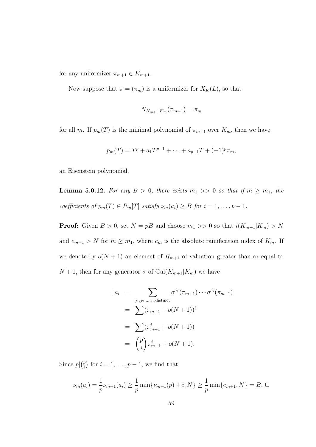for any uniformizer  $\pi_{m+1} \in K_{m+1}$ .

Now suppose that  $\pi = (\pi_m)$  is a uniformizer for  $X_K(L)$ , so that

$$
N_{K_{m+1}|K_m}(\pi_{m+1}) = \pi_m
$$

for all m. If  $p_m(T)$  is the minimal polynomial of  $\pi_{m+1}$  over  $K_m$ , then we have

$$
p_m(T) = T^p + a_1 T^{p-1} + \dots + a_{p-1} T + (-1)^p \pi_m,
$$

an Eisenstein polynomial.

**Lemma 5.0.12.** For any  $B > 0$ , there exists  $m_1 >> 0$  so that if  $m \ge m_1$ , the coefficients of  $p_m(T) \in R_m[T]$  satisfy  $\nu_m(a_i) \geq B$  for  $i = 1, \ldots, p - 1$ .

**Proof:** Given  $B > 0$ , set  $N = pB$  and choose  $m_1 >> 0$  so that  $i(K_{m+1}|K_m) > N$ and  $e_{m+1} > N$  for  $m \geq m_1$ , where  $e_m$  is the absolute ramification index of  $K_m$ . If we denote by  $o(N + 1)$  an element of  $R_{m+1}$  of valuation greater than or equal to  $N+1$ , then for any generator  $\sigma$  of  $Gal(K_{m+1}|K_m)$  we have

$$
\pm a_i = \sum_{j_1, j_2, \dots, j_i, \text{distinct}} \sigma^{j_1}(\pi_{m+1}) \cdots \sigma^{j_i}(\pi_{m+1})
$$
\n
$$
= \sum (\pi_{m+1} + o(N+1))^i
$$
\n
$$
= \sum (\pi_{m+1}^i + o(N+1))
$$
\n
$$
= {p \choose i} \pi_{m+1}^i + o(N+1).
$$

Since  $p\vert \binom{p}{i}$  $\binom{p}{i}$  for  $i = 1, \ldots, p - 1$ , we find that

$$
\nu_m(a_i) = \frac{1}{p}\nu_{m+1}(a_i) \ge \frac{1}{p}\min\{\nu_{m+1}(p) + i, N\} \ge \frac{1}{p}\min\{e_{m+1}, N\} = B. \square
$$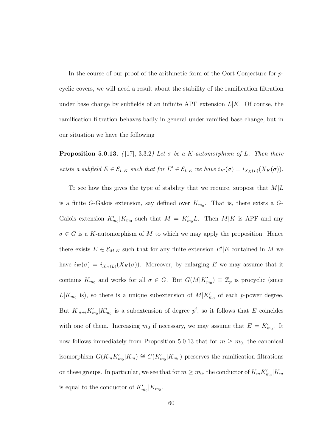In the course of our proof of the arithmetic form of the Oort Conjecture for pcyclic covers, we will need a result about the stability of the ramification filtration under base change by subfields of an infinite APF extension  $L|K$ . Of course, the ramification filtration behaves badly in general under ramified base change, but in our situation we have the following

**Proposition 5.0.13.** ([17], 3.3.2) Let  $\sigma$  be a K-automorphism of L. Then there exists a subfield  $E \in \mathcal{E}_{L|K}$  such that for  $E' \in \mathcal{E}_{L|E}$  we have  $i_{E'}(\sigma) = i_{X_K(L)}(X_K(\sigma))$ .

To see how this gives the type of stability that we require, suppose that  $M/L$ is a finite G-Galois extension, say defined over  $K_{m_0}$ . That is, there exists a G-Galois extension  $K'_{m_0}|K_{m_0}$  such that  $M = K'_{m_0}L$ . Then  $M|K$  is APF and any  $\sigma \in G$  is a K-automorphism of M to which we may apply the proposition. Hence there exists  $E \in \mathcal{E}_{M|K}$  such that for any finite extension  $E'|E$  contained in M we have  $i_{E'}(\sigma) = i_{X_K(L)}(X_K(\sigma))$ . Moreover, by enlarging E we may assume that it contains  $K_{m_0}$  and works for all  $\sigma \in G$ . But  $G(M|K'_{m_0}) \cong \mathbb{Z}_p$  is procyclic (since  $L|K_{m_0}$  is), so there is a unique subextension of  $M|K'_{m_0}$  of each p-power degree. But  $K_{m+i}K'_{m_0}|K'_{m_0}$  is a subextension of degree  $p^i$ , so it follows that E coincides with one of them. Increasing  $m_0$  if necessary, we may assume that  $E = K'_{m_0}$ . It now follows immediately from Proposition 5.0.13 that for  $m \geq m_0$ , the canonical isomorphism  $G(K_m K'_{m_0}|K_m) \cong G(K'_{m_0}|K_{m_0})$  preserves the ramification filtrations on these groups. In particular, we see that for  $m \geq m_0$ , the conductor of  $K_m K'_{m_0}|K_m$ is equal to the conductor of  $K'_{m_0}|K_{m_0}$ .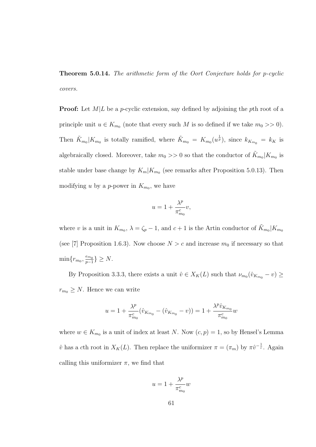Theorem 5.0.14. The arithmetic form of the Oort Conjecture holds for p-cyclic covers.

**Proof:** Let  $M/L$  be a p-cyclic extension, say defined by adjoining the pth root of a principle unit  $u \in K_{m_0}$  (note that every such M is so defined if we take  $m_0 >> 0$ ). Then  $\tilde{K}_{m_0}|K_{m_0}$  is totally ramified, where  $\tilde{K}_{m_0} = K_{m_0}(u^{\frac{1}{p}})$ , since  $k_{K_{m_0}} = k_K$  is algebraically closed. Moreover, take  $m_0 >> 0$  so that the conductor of  $\tilde{K}_{m_0}|K_{m_0}$  is stable under base change by  $K_m|K_{m_0}$  (see remarks after Proposition 5.0.13). Then modifying u by a p-power in  $K_{m_0}$ , we have

$$
u = 1 + \frac{\lambda^p}{\pi_{m_0}^c} v,
$$

where v is a unit in  $K_{m_0}$ ,  $\lambda = \zeta_p - 1$ , and  $c + 1$  is the Artin conductor of  $\tilde{K}_{m_0}|K_{m_0}$ (see [7] Proposition 1.6.3). Now choose  $N > c$  and increase  $m_0$  if necessary so that  $\min\{r_{m_0}, \frac{e_{m_0}}{p-1}\}$  $\frac{e_{m_0}}{p-1}\} \geq N.$ 

By Proposition 3.3.3, there exists a unit  $\hat{v} \in X_K(L)$  such that  $\nu_{m_0}(\hat{v}_{K_{m_0}} - v) \ge$  $r_{m_0} \geq N$ . Hence we can write

$$
u = 1 + \frac{\lambda^p}{\pi_{m_0}^c} (\hat{v}_{K_{m_0}} - (\hat{v}_{K_{m_0}} - v)) = 1 + \frac{\lambda^p \hat{v}_{K_{m_0}}}{\pi_{m_0}^c} w
$$

where  $w \in K_{m_0}$  is a unit of index at least N. Now  $(c, p) = 1$ , so by Hensel's Lemma  $\hat{v}$  has a cth root in  $X_K(L)$ . Then replace the uniformizer  $\pi = (\pi_m)$  by  $\pi \hat{v}^{-\frac{1}{c}}$ . Again calling this uniformizer  $\pi$ , we find that

$$
u=1+\frac{\lambda^p}{\pi_{m_0}^c}w
$$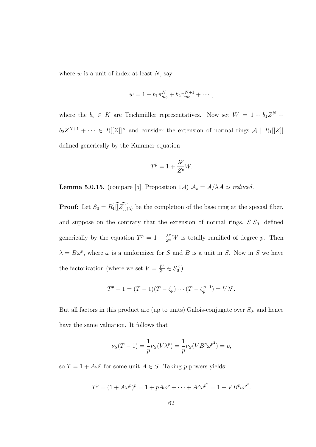where  $w$  is a unit of index at least  $N$ , say

$$
w = 1 + b_1 \pi_{m_0}^N + b_2 \pi_{m_0}^{N+1} + \cdots,
$$

where the  $b_i \in K$  are Teichmüller representatives. Now set  $W = 1 + b_1 Z^N +$  $b_2 Z^{N+1} + \cdots \in R[[Z]]^{\times}$  and consider the extension of normal rings  $\mathcal{A} \mid R_1[[Z]]$ defined generically by the Kummer equation

$$
T^p = 1 + \frac{\lambda^p}{Z^c} W.
$$

**Lemma 5.0.15.** (compare [5], Proposition 1.4)  $A_s = A/\lambda A$  is reduced.

**Proof:** Let  $S_0 = R_1[[Z]]_{(\lambda)}$  be the completion of the base ring at the special fiber, and suppose on the contrary that the extension of normal rings,  $S|S_0$ , defined generically by the equation  $T^p = 1 + \frac{\lambda^p}{Z^c} W$  is totally ramified of degree p. Then  $\lambda = B\omega^p$ , where  $\omega$  is a uniformizer for S and B is a unit in S. Now in S we have the factorization (where we set  $V = \frac{W}{Z^c} \in S_0^{\times}$ )

$$
T^{p} - 1 = (T - 1)(T - \zeta_{p}) \cdots (T - \zeta_{p}^{p-1}) = V\lambda^{p}.
$$

But all factors in this product are (up to units) Galois-conjugate over  $S_0$ , and hence have the same valuation. It follows that

$$
\nu_S(T - 1) = \frac{1}{p} \nu_S(V\lambda^p) = \frac{1}{p} \nu_S(VB^p \omega^{p^2}) = p,
$$

so  $T = 1 + A\omega^p$  for some unit  $A \in S$ . Taking *p*-powers yields:

$$
T^{p} = (1 + A\omega^{p})^{p} = 1 + pA\omega^{p} + \dots + A^{p}\omega^{p^{2}} = 1 + VB^{p}\omega^{p^{2}}.
$$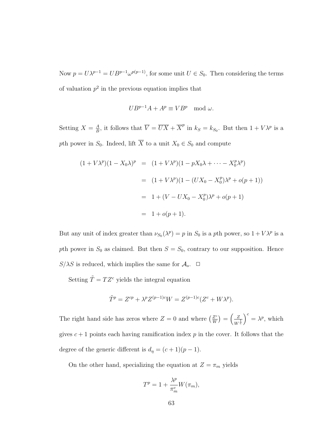Now  $p = U\lambda^{p-1} = UB^{p-1}\omega^{p(p-1)}$ , for some unit  $U \in S_0$ . Then considering the terms of valuation  $p^2$  in the previous equation implies that

$$
UB^{p-1}A + A^p \equiv VB^p \mod{\omega}.
$$

Setting  $X = \frac{A}{B}$  $\frac{A}{B}$ , it follows that  $\overline{V} = \overline{UX} + \overline{X}^p$  in  $k_S = k_{S_0}$ . But then  $1 + V\lambda^p$  is a pth power in  $S_0$ . Indeed, lift  $\overline{X}$  to a unit  $X_0 \in S_0$  and compute

$$
(1 + V\lambda^{p})(1 - X_{0}\lambda)^{p} = (1 + V\lambda^{p})(1 - pX_{0}\lambda + \dots - X_{0}^{p}\lambda^{p})
$$
  
=  $(1 + V\lambda^{p})(1 - (UX_{0} - X_{0}^{p})\lambda^{p} + o(p + 1))$   
=  $1 + (V - UX_{0} - X_{0}^{p})\lambda^{p} + o(p + 1)$   
=  $1 + o(p + 1).$ 

But any unit of index greater than  $\nu_{S_0}(\lambda^p) = p$  in  $S_0$  is a pth power, so  $1 + V\lambda^p$  is a pth power in  $S_0$  as claimed. But then  $S = S_0$ , contrary to our supposition. Hence  $S/\lambda S$  is reduced, which implies the same for  $\mathcal{A}_s$ .  $\Box$ 

Setting  $\tilde{T} = T Z^c$  yields the integral equation

$$
\tilde{T}^{p} = Z^{cp} + \lambda^{p} Z^{(p-1)c} W = Z^{(p-1)c} (Z^{c} + W \lambda^{p}).
$$

The right hand side has zeros where  $Z = 0$  and where  $\left(\frac{Z^c}{W}\right)$  $\left(\frac{Z^c}{W}\right) = \left(\frac{Z}{W}\right)$  $\overline{W^{\frac{1}{c}}}$  $\int^{c} = \lambda^{p}$ , which gives  $c + 1$  points each having ramification index p in the cover. It follows that the degree of the generic different is  $d_{\eta} = (c+1)(p-1)$ .

On the other hand, specializing the equation at  $Z = \pi_m$  yields

$$
T^{p} = 1 + \frac{\lambda^{p}}{\pi_{m}^{c}} W(\pi_{m}),
$$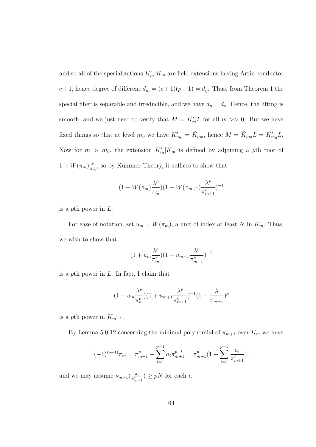and so all of the specializations  $K'_m|K_m$  are field extensions having Artin conductor  $c+1$ , hence degree of different  $d_m = (c+1)(p-1) = d_\eta$ . Thus, from Theorem 1 the special fiber is separable and irreducible, and we have  $d_{\eta} = d_s$ . Hence, the lifting is smooth, and we just need to verify that  $M = K'_m L$  for all  $m >> 0$ . But we have fixed things so that at level  $m_0$  we have  $K'_{m_0} = \tilde{K}_{m_0}$ , hence  $M = \tilde{K}_{m_0} L = K'_{m_0} L$ . Now for  $m > m_0$ , the extension  $K'_m|K_m$  is defined by adjoining a pth root of  $1 + W(\pi_m) \frac{\lambda^p}{\pi^c}$  $\frac{\lambda^p}{\pi_m^c}$ , so by Kummer Theory, it suffices to show that

$$
(1 + W(\pi_m) \frac{\lambda^p}{\pi_m^c}) (1 + W(\pi_{m+1}) \frac{\lambda^p}{\pi_{m+1}^c})^{-1}
$$

is a pth power in L.

For ease of notation, set  $u_m = W(\pi_m)$ , a unit of index at least N in  $K_m$ . Thus, we wish to show that

$$
(1+u_m\frac{\lambda^p}{\pi_m^c})(1+u_{m+1}\frac{\lambda^p}{\pi_{m+1}^c})^{-1}
$$

is a pth power in  $L$ . In fact, I claim that

$$
(1+u_m \frac{\lambda^p}{\pi_m^c})(1+u_{m+1} \frac{\lambda^p}{\pi_{m+1}^c})^{-1}(1-\frac{\lambda}{\pi_{m+1}})^p
$$

is a pth power in  $K_{m+1}$ .

By Lemma 5.0.12 concerning the minimal polynomial of  $\pi_{m+1}$  over  $K_m$  we have

$$
(-1)^{(p-1)}\pi_m = \pi_{m+1}^p + \sum_{i=1}^{p-1} a_i \pi_{m+1}^{p-i} = \pi_{m+1}^p (1 + \sum_{i=1}^{p-1} \frac{a_i}{\pi_{m+1}^i}),
$$

and we may assume  $\nu_{m+1}(\frac{a_i}{\pi i})$  $\frac{a_i}{\pi_{m+1}^i}$ )  $\geq pN$  for each *i*.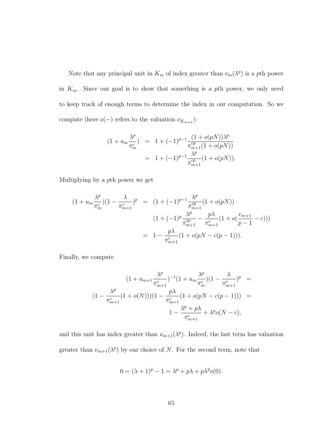Note that any principal unit in  $K_m$  of index greater than  $\nu_m(\lambda^p)$  is a pth power in  $K_m$ . Since our goal is to show that something is a pth power, we only need to keep track of enough terms to determine the index in our computation. So we compute (here  $o(-)$  refers to the valuation  $\nu_{K_{m+1}})$  :

$$
(1 + u_m \frac{\lambda^p}{\pi_m^c}) = 1 + (-1)^{p-1} \frac{(1 + o(pN))\lambda^p}{\pi_{m+1}^{cp}(1 + o(pN))}
$$
  
= 1 + (-1)^{p-1} \frac{\lambda^p}{\pi\_{m+1}^{cp}} (1 + o(pN)).

Multiplying by a pth power we get

$$
(1 + u_m \frac{\lambda^p}{\pi_m^c}) (1 - \frac{\lambda}{\pi_{m+1}^c})^p = (1 + (-1)^{p-1} \frac{\lambda^p}{\pi_{m+1}^{cp}} (1 + o(pN)) \cdot
$$
  

$$
(1 + (-1)^p \frac{\lambda^p}{\pi_{m+1}^{cp}} - \frac{p\lambda}{\pi_{m+1}^c} (1 + o(\frac{e_{m+1}}{p-1} - c)))
$$
  

$$
= 1 - \frac{p\lambda}{\pi_{m+1}^c} (1 + o(pN - c(p-1))).
$$

Finally, we compute

$$
(1 + u_{m+1} \frac{\lambda^p}{\pi_{m+1}^c})^{-1} (1 + u_m \frac{\lambda^p}{\pi_m^c}) (1 - \frac{\lambda}{\pi_{m+1}^c})^p =
$$
  

$$
(1 - \frac{\lambda^p}{\pi_{m+1}^c} (1 + o(N)))(1 - \frac{p\lambda}{\pi_{m+1}^c} (1 + o(pN - c(p-1))) =
$$
  

$$
1 - \frac{\lambda^p + p\lambda}{\pi_{m+1}^c} + \lambda^p o(N - c),
$$

and this unit has index greater than  $\nu_{m+1}(\lambda^p)$ . Indeed, the last term has valuation greater than  $\nu_{m+1}(\lambda^p)$  by our choice of N. For the second term, note that

$$
0 = (\lambda + 1)^p - 1 = \lambda^p + p\lambda + p\lambda^2 o(0).
$$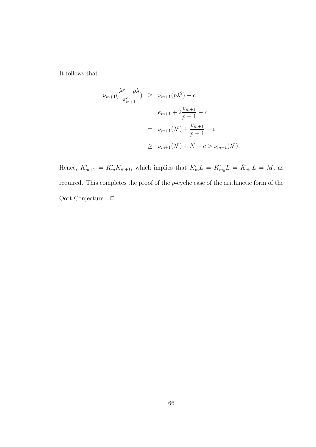It follows that

$$
\nu_{m+1}(\frac{\lambda^p + p\lambda}{\pi_{m+1}^c}) \geq \nu_{m+1}(p\lambda^2) - c
$$
  
=  $e_{m+1} + 2\frac{e_{m+1}}{p-1} - c$   
=  $\nu_{m+1}(\lambda^p) + \frac{e_{m+1}}{p-1} - c$   
 $\geq \nu_{m+1}(\lambda^p) + N - c > \nu_{m+1}(\lambda^p).$ 

Hence,  $K'_{m+1} = K'_{m} K_{m+1}$ , which implies that  $K'_{m} L = K'_{m} L = \tilde{K}_{m} L = M$ , as required. This completes the proof of the p-cyclic case of the arithmetic form of the Oort Conjecture.  $\Box$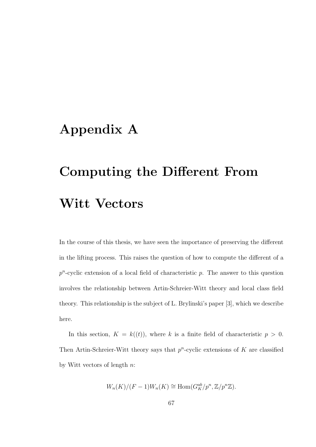## Appendix A

## Computing the Different From Witt Vectors

In the course of this thesis, we have seen the importance of preserving the different in the lifting process. This raises the question of how to compute the different of a  $p^{n}$ -cyclic extension of a local field of characteristic  $p$ . The answer to this question involves the relationship between Artin-Schreier-Witt theory and local class field theory. This relationship is the subject of L. Brylinski's paper [3], which we describe here.

In this section,  $K = k((t))$ , where k is a finite field of characteristic  $p > 0$ . Then Artin-Schreier-Witt theory says that  $p^n$ -cyclic extensions of K are classified by Witt vectors of length n:

$$
W_n(K)/(F-1)W_n(K) \cong \text{Hom}(G_K^{ab}/p^n, \mathbb{Z}/p^n\mathbb{Z}).
$$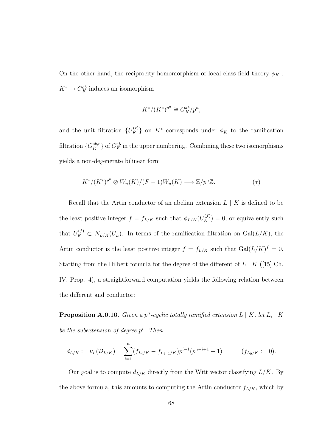On the other hand, the reciprocity homomorphism of local class field theory  $\phi_K$ :  $K^* \to G_K^{ab}$  induces an isomorphism

$$
K^*/(K^*)^{p^n} \cong G_K^{ab}/p^n,
$$

and the unit filtration  ${U_K^{(r)}}$  on  $K^*$  corresponds under  $\phi_K$  to the ramification filtration  $\{G^{ab,r}_K\}$  of  $G^{ab}_K$  in the upper numbering. Combining these two isomorphisms yields a non-degenerate bilinear form

$$
K^*/(K^*)^{p^n} \otimes W_n(K)/(F-1)W_n(K) \longrightarrow \mathbb{Z}/p^n\mathbb{Z}.
$$
 (\*)

Recall that the Artin conductor of an abelian extension  $L \mid K$  is defined to be the least positive integer  $f = f_{L/K}$  such that  $\phi_{L/K}(U_K^{(f)}) = 0$ , or equivalently such that  $U_K^{(f)} \subset N_{L/K}(U_L)$ . In terms of the ramification filtration on  $Gal(L/K)$ , the Artin conductor is the least positive integer  $f = f_{L/K}$  such that  $Gal(L/K)^f = 0$ . Starting from the Hilbert formula for the degree of the different of  $L | K (15)$  Ch. IV, Prop. 4), a straightforward computation yields the following relation between the different and conductor:

**Proposition A.0.16.** Given a  $p^n$ -cyclic totally ramified extension  $L \mid K$ , let  $L_i \mid K$ be the subextension of degree  $p^i$ . Then

$$
d_{L/K} := \nu_L(\mathcal{D}_{L/K}) = \sum_{i=1}^n (f_{L_i/K} - f_{L_{i-1}/K}) p^{i-1} (p^{n-i+1} - 1) \qquad (f_{L_0/K} := 0).
$$

Our goal is to compute  $d_{L/K}$  directly from the Witt vector classifying  $L/K$ . By the above formula, this amounts to computing the Artin conductor  $f_{L/K}$ , which by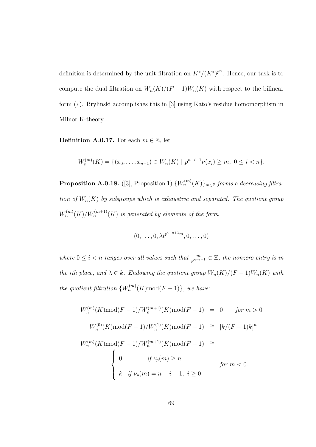definition is determined by the unit filtration on  $K^*/(K^*)^{p^n}$ . Hence, our task is to compute the dual filtration on  $W_n(K)/(F-1)W_n(K)$  with respect to the bilinear form (∗). Brylinski accomplishes this in [3] using Kato's residue homomorphism in Milnor K-theory.

**Definition A.0.17.** For each  $m \in \mathbb{Z}$ , let

$$
W_n^{(m)}(K) = \{(x_0, \ldots, x_{n-1}) \in W_n(K) \mid p^{n-i-1}\nu(x_i) \ge m, \ 0 \le i < n\}.
$$

**Proposition A.0.18.** ([3], Proposition 1)  ${W_n^{(m)}(K)}_{m \in \mathbb{Z}}$  forms a decreasing filtration of  $W_n(K)$  by subgroups which is exhaustive and separated. The quotient group  $W_n^{(m)}(K)/W_n^{(m+1)}(K)$  is generated by elements of the form

$$
(0, \ldots, 0, \lambda t^{p^{i-n+1}m}, 0, \ldots, 0)
$$

where  $0 \leq i < n$  ranges over all values such that  $\frac{m}{p^{n-i-1}} \in \mathbb{Z}$ , the nonzero entry is in the ith place, and  $\lambda \in k$ . Endowing the quotient group  $W_n(K)/(F-1)W_n(K)$  with the quotient filtration  $\{W_n^{(m)}(K) \text{mod}(F-1)\}\$ , we have:

$$
W_n^{(m)}(K) \text{mod}(F-1)/W_n^{(m+1)}(K) \text{mod}(F-1) = 0 \quad \text{for } m > 0
$$
  

$$
W_n^{(0)}(K) \text{mod}(F-1)/W_n^{(1)}(K) \text{mod}(F-1) \cong [k/(F-1)k]^n
$$
  

$$
W_n^{(m)}(K) \text{mod}(F-1)/W_n^{(m+1)}(K) \text{mod}(F-1) \cong
$$
  

$$
\begin{cases} 0 & \text{if } \nu_p(m) \ge n \\ k & \text{if } \nu_p(m) = n-i-1, \ i \ge 0 \end{cases} \quad \text{for } m < 0.
$$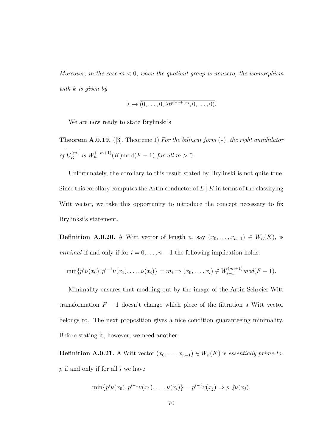Moreover, in the case  $m < 0$ , when the quotient group is nonzero, the isomorphism with k is given by

$$
\lambda \mapsto \overline{(0,\ldots,0,\lambda t^{p^{i-n+1}m},0,\ldots,0)}.
$$

We are now ready to state Brylinski's

**Theorem A.0.19.** ([3], Theoreme 1) For the bilinear form  $(*)$ , the right annihilator of  $U_K^{(m)}$  is  $W_n^{(-m+1)}(K) \text{mod}(F-1)$  for all  $m > 0$ .

Unfortunately, the corollary to this result stated by Brylinski is not quite true. Since this corollary computes the Artin conductor of  $L | K$  in terms of the classifying Witt vector, we take this opportunity to introduce the concept necessary to fix Brylinksi's statement.

**Definition A.0.20.** A Witt vector of length n, say  $(x_0, \ldots, x_{n-1}) \in W_n(K)$ , is *minimal* if and only if for  $i = 0, \ldots, n - 1$  the following implication holds:

$$
\min\{p^{i}\nu(x_0), p^{i-1}\nu(x_1), \ldots, \nu(x_i)\} = m_i \Rightarrow (x_0, \ldots, x_i) \notin W_{i+1}^{(m_i+1)} \text{mod}(F-1).
$$

Minimality ensures that modding out by the image of the Artin-Schreier-Witt transformation  $F - 1$  doesn't change which piece of the filtration a Witt vector belongs to. The next proposition gives a nice condition guaranteeing minimality. Before stating it, however, we need another

**Definition A.0.21.** A Witt vector  $(x_0, \ldots, x_{n-1}) \in W_n(K)$  is essentially prime-to $p$  if and only if for all  $i$  we have

$$
\min\{p^{i}\nu(x_0), p^{i-1}\nu(x_1), \dots, \nu(x_i)\} = p^{i-j}\nu(x_j) \Rightarrow p \not\!\!|\nu(x_j).
$$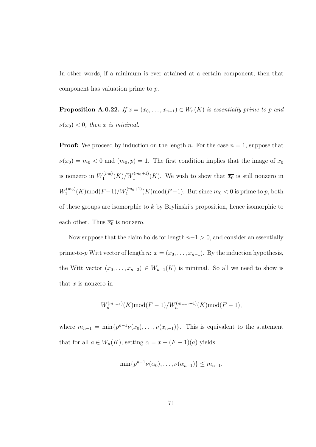In other words, if a minimum is ever attained at a certain component, then that component has valuation prime to p.

**Proposition A.0.22.** If  $x = (x_0, \ldots, x_{n-1}) \in W_n(K)$  is essentially prime-to-p and  $\nu(x_0) < 0$ , then x is minimal.

**Proof:** We proceed by induction on the length n. For the case  $n = 1$ , suppose that  $\nu(x_0) = m_0 < 0$  and  $(m_0, p) = 1$ . The first condition implies that the image of  $x_0$ is nonzero in  $W_1^{(m_0)}$  $\mathcal{F}_1^{(m_0)}(K)/W_1^{(m_0+1)}(K)$ . We wish to show that  $\overline{x_0}$  is still nonzero in  $W^{(m_0)}_1$  $T_1^{(m_0)}(K) \text{mod}(F-1) / W_1^{(m_0+1)}(K) \text{mod}(F-1)$ . But since  $m_0 < 0$  is prime to p, both of these groups are isomorphic to k by Brylinski's proposition, hence isomorphic to each other. Thus  $\overline{x_0}$  is nonzero.

Now suppose that the claim holds for length  $n-1 > 0$ , and consider an essentially prime-to-p Witt vector of length n:  $x = (x_0, \ldots, x_{n-1})$ . By the induction hypothesis, the Witt vector  $(x_0, \ldots, x_{n-2}) \in W_{n-1}(K)$  is minimal. So all we need to show is that  $\bar{x}$  is nonzero in

$$
W_n^{(m_{n-1})}(K) \text{mod}(F-1) / W_n^{(m_{n-1}+1)}(K) \text{mod}(F-1),
$$

where  $m_{n-1} = \min\{p^{n-1}\nu(x_0), \ldots, \nu(x_{n-1})\}$ . This is equivalent to the statement that for all  $a \in W_n(K)$ , setting  $\alpha = x + (F - 1)(a)$  yields

$$
\min\{p^{n-1}\nu(\alpha_0),\ldots,\nu(\alpha_{n-1})\}\leq m_{n-1}.
$$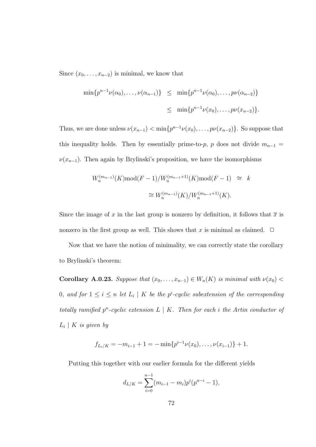Since  $(x_0, \ldots, x_{n-2})$  is minimal, we know that

$$
\min \{ p^{n-1} \nu(\alpha_0), \dots, \nu(\alpha_{n-1}) \} \leq \min \{ p^{n-1} \nu(\alpha_0), \dots, p \nu(\alpha_{n-2}) \}
$$
  

$$
\leq \min \{ p^{n-1} \nu(x_0), \dots, p \nu(x_{n-2}) \}.
$$

Thus, we are done unless  $\nu(x_{n-1}) < \min\{p^{n-1}\nu(x_0), \ldots, p\nu(x_{n-2})\}$ . So suppose that this inequality holds. Then by essentially prime-to-p, p does not divide  $m_{n-1}$  =  $\nu(x_{n-1})$ . Then again by Brylinski's proposition, we have the isomorphisms

$$
W_n^{(m_{n-1})}(K) \text{mod}(F-1) / W_n^{(m_{n-1}+1)}(K) \text{mod}(F-1) \cong k
$$
  

$$
\cong W_n^{(m_{n-1})}(K) / W_n^{(m_{n-1}+1)}(K).
$$

Since the image of x in the last group is nonzero by definition, it follows that  $\bar{x}$  is nonzero in the first group as well. This shows that x is minimal as claimed.  $\Box$ 

Now that we have the notion of minimality, we can correctly state the corollary to Brylinski's theorem:

Corollary A.0.23. Suppose that  $(x_0, \ldots, x_{n-1}) \in W_n(K)$  is minimal with  $\nu(x_0)$  < 0, and for  $1 \leq i \leq n$  let  $L_i \mid K$  be the p<sup>i</sup>-cyclic subextension of the corresponding totally ramified  $p^n$ -cyclic extension  $L \mid K$ . Then for each i the Artin conductor of  $L_i \mid K$  is given by

$$
f_{L_i/K} = -m_{i-1} + 1 = -\min\{p^{i-1}\nu(x_0), \ldots, \nu(x_{i-1})\} + 1.
$$

Putting this together with our earlier formula for the different yields

$$
d_{L/K} = \sum_{i=0}^{n-1} (m_{i-1} - m_i) p^i (p^{n-i} - 1),
$$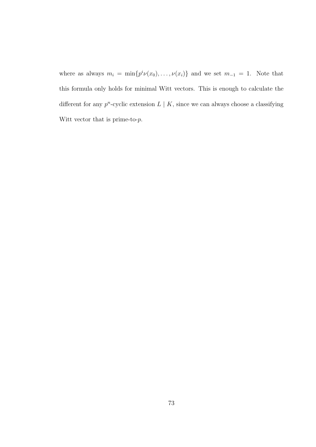where as always  $m_i = \min\{p^i \nu(x_0), \ldots, \nu(x_i)\}\$  and we set  $m_{-1} = 1$ . Note that this formula only holds for minimal Witt vectors. This is enough to calculate the different for any  $p^n$ -cyclic extension  $L \mid K$ , since we can always choose a classifying Witt vector that is prime-to- $p$ .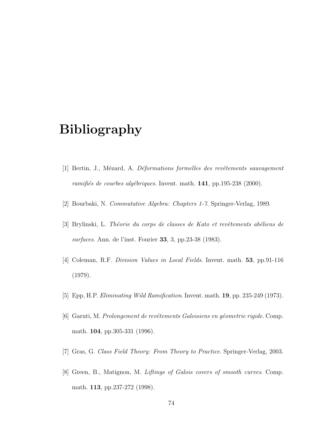## Bibliography

- [1] Bertin, J., Mézard, A. Déformations formelles des revêtements sauvagement ramifiés de courbes algébriques. Invent. math. 141, pp.195-238 (2000).
- [2] Bourbaki, N. Commutative Algebra: Chapters 1-7. Springer-Verlag, 1989.
- [3] Brylinski, L. Théorie du corps de classes de Kato et revêtements abéliens de surfaces. Ann. de l'inst. Fourier 33, 3, pp.23-38 (1983).
- [4] Coleman, R.F. Division Values in Local Fields. Invent. math. 53, pp.91-116 (1979).
- [5] Epp, H.P. Eliminating Wild Ramification. Invent. math. 19, pp. 235-249 (1973).
- [6] Garuti, M. Prolongement de revêtements Galoisiens en géometrie rigide. Comp. math. 104, pp.305-331 (1996).
- [7] Gras, G. Class Field Theory: From Theory to Practice. Springer-Verlag, 2003.
- [8] Green, B., Matignon, M. Liftings of Galois covers of smooth curves. Comp. math. 113, pp.237-272 (1998).